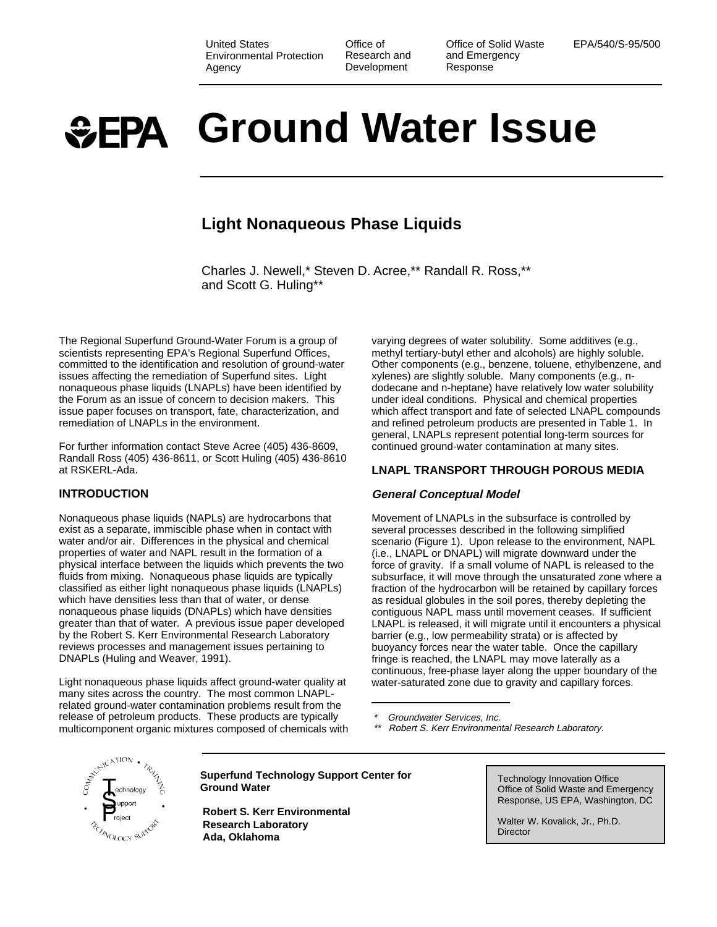United States Environmental Protection Agency

Office of Research and **Development** 

Office of Solid Waste and Emergency Response

EPA/540/S-95/500

# **Ground Water Issue**

## **Light Nonaqueous Phase Liquids**

Charles J. Newell,\* Steven D. Acree,\*\* Randall R. Ross,\*\* and Scott G. Huling\*\*

The Regional Superfund Ground-Water Forum is a group of scientists representing EPA's Regional Superfund Offices, committed to the identification and resolution of ground-water issues affecting the remediation of Superfund sites. Light nonaqueous phase liquids (LNAPLs) have been identified by the Forum as an issue of concern to decision makers. This issue paper focuses on transport, fate, characterization, and remediation of LNAPLs in the environment.

For further information contact Steve Acree (405) 436-8609, Randall Ross (405) 436-8611, or Scott Huling (405) 436-8610 at RSKERL-Ada.

## **INTRODUCTION**

Nonaqueous phase liquids (NAPLs) are hydrocarbons that exist as a separate, immiscible phase when in contact with water and/or air. Differences in the physical and chemical properties of water and NAPL result in the formation of a physical interface between the liquids which prevents the two fluids from mixing. Nonaqueous phase liquids are typically classified as either light nonaqueous phase liquids (LNAPLs) which have densities less than that of water, or dense nonaqueous phase liquids (DNAPLs) which have densities greater than that of water. A previous issue paper developed by the Robert S. Kerr Environmental Research Laboratory reviews processes and management issues pertaining to DNAPLs (Huling and Weaver, 1991).

Light nonaqueous phase liquids affect ground-water quality at many sites across the country. The most common LNAPLrelated ground-water contamination problems result from the release of petroleum products. These products are typically multicomponent organic mixtures composed of chemicals with varying degrees of water solubility. Some additives (e.g., methyl tertiary-butyl ether and alcohols) are highly soluble. Other components (e.g., benzene, toluene, ethylbenzene, and xylenes) are slightly soluble. Many components (e.g., ndodecane and n-heptane) have relatively low water solubility under ideal conditions. Physical and chemical properties which affect transport and fate of selected LNAPL compounds and refined petroleum products are presented in Table 1. In general, LNAPLs represent potential long-term sources for continued ground-water contamination at many sites.

## **LNAPL TRANSPORT THROUGH POROUS MEDIA**

## **General Conceptual Model**

Movement of LNAPLs in the subsurface is controlled by several processes described in the following simplified scenario (Figure 1). Upon release to the environment, NAPL (i.e., LNAPL or DNAPL) will migrate downward under the force of gravity. If a small volume of NAPL is released to the subsurface, it will move through the unsaturated zone where a fraction of the hydrocarbon will be retained by capillary forces as residual globules in the soil pores, thereby depleting the contiguous NAPL mass until movement ceases. If sufficient LNAPL is released, it will migrate until it encounters a physical barrier (e.g., low permeability strata) or is affected by buoyancy forces near the water table. Once the capillary fringe is reached, the LNAPL may move laterally as a continuous, free-phase layer along the upper boundary of the water-saturated zone due to gravity and capillary forces.

Groundwater Services, Inc.

Robert S. Kerr Environmental Research Laboratory.



**Superfund Technology Support Center for Ground Water Coronal Controls Superful Center Tor** Technology Innovation Office<br> **Cround Water** Coronal Coronal Coronal Coronal Coronal Coronal Coronal Coronal Chergency

**Robert S. Kerr Environmental Research Laboratory Ada, Oklahoma**

Response, US EPA, Washington, DC

Walter W. Kovalick, Jr., Ph.D. **Director**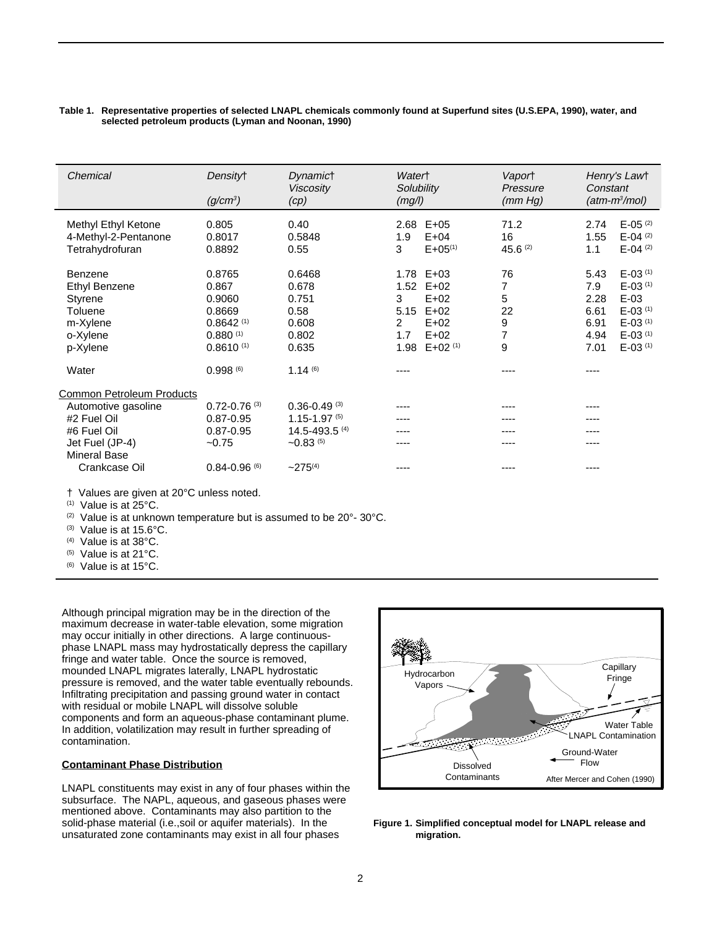#### **Table 1. Representative properties of selected LNAPL chemicals commonly found at Superfund sites (U.S.EPA, 1990), water, and selected petroleum products (Lyman and Noonan, 1990)**

| Chemical                                                                                                                                         | Density <sup>+</sup><br>$(q/cm^3)$                                                             | <b>Dynamict</b><br><b>Viscosity</b><br>(cp)                                                              | Watert<br>Solubility<br>(mg/l)                                                                                                             | Vaport<br>Pressure<br>(mm Hg)                  | Henry's Lawt<br>Constant<br>$(atm-m3/mol)$                                                                                                                                                                          |
|--------------------------------------------------------------------------------------------------------------------------------------------------|------------------------------------------------------------------------------------------------|----------------------------------------------------------------------------------------------------------|--------------------------------------------------------------------------------------------------------------------------------------------|------------------------------------------------|---------------------------------------------------------------------------------------------------------------------------------------------------------------------------------------------------------------------|
| Methyl Ethyl Ketone<br>4-Methyl-2-Pentanone<br>Tetrahydrofuran                                                                                   | 0.805<br>0.8017<br>0.8892                                                                      | 0.40<br>0.5848<br>0.55                                                                                   | $E+05$<br>2.68<br>1.9<br>$E+04$<br>$E + 05^{(1)}$<br>3                                                                                     | 71.2<br>16<br>$45.6^{(2)}$                     | $E-05^{(2)}$<br>2.74<br>$E-04$ <sup>(2)</sup><br>1.55<br>$E-04^{(2)}$<br>1.1                                                                                                                                        |
| Benzene<br>Ethyl Benzene<br>Styrene<br>Toluene<br>m-Xylene<br>o-Xylene<br>p-Xylene                                                               | 0.8765<br>0.867<br>0.9060<br>0.8669<br>$0.8642$ <sup>(1)</sup><br>0.880(1)<br>$0.8610^{(1)}$   | 0.6468<br>0.678<br>0.751<br>0.58<br>0.608<br>0.802<br>0.635                                              | 1.78 E+03<br>$E+02$<br>1.52<br>$E+02$<br>3<br>$E+02$<br>5.15<br>$E+02$<br>$\overline{2}$<br>$E+02$<br>1.7<br>1.98<br>$E+02$ <sup>(1)</sup> | 76<br>7<br>5<br>22<br>9<br>$\overline{7}$<br>9 | $E-03$ <sup>(1)</sup><br>5.43<br>$E-03$ <sup>(1)</sup><br>7.9<br>$E-03$<br>2.28<br>$E-03$ <sup>(1)</sup><br>6.61<br>$E-03$ <sup>(1)</sup><br>6.91<br>$E-03$ <sup>(1)</sup><br>4.94<br>$E-03$ <sup>(1)</sup><br>7.01 |
| Water                                                                                                                                            | 0.998(6)                                                                                       | $1.14^{(6)}$                                                                                             |                                                                                                                                            | ----                                           | ----                                                                                                                                                                                                                |
| <b>Common Petroleum Products</b><br>Automotive gasoline<br>#2 Fuel Oil<br>#6 Fuel Oil<br>Jet Fuel (JP-4)<br><b>Mineral Base</b><br>Crankcase Oil | $0.72 - 0.76$ (3)<br>$0.87 - 0.95$<br>$0.87 - 0.95$<br>$-0.75$<br>$0.84 - 0.96$ <sup>(6)</sup> | $0.36 - 0.49$ <sup>(3)</sup><br>$1.15 - 1.97^{(5)}$<br>$14.5 - 493.5$ (4)<br>$-0.83$ (5)<br>$-275^{(4)}$ |                                                                                                                                            | ----<br>----<br>----                           | ----<br>----<br>----<br>----<br>----                                                                                                                                                                                |

† Values are given at 20°C unless noted.

(1) Value is at 25°C.

(2) Value is at unknown temperature but is assumed to be 20°- 30°C.

(3) Value is at 15.6°C.

(4) Value is at 38°C.

(5) Value is at 21°C.

(6) Value is at 15°C.

Although principal migration may be in the direction of the maximum decrease in water-table elevation, some migration may occur initially in other directions. A large continuousphase LNAPL mass may hydrostatically depress the capillary fringe and water table. Once the source is removed, mounded LNAPL migrates laterally, LNAPL hydrostatic pressure is removed, and the water table eventually rebounds. Infiltrating precipitation and passing ground water in contact with residual or mobile LNAPL will dissolve soluble components and form an aqueous-phase contaminant plume. In addition, volatilization may result in further spreading of contamination.

#### **Contaminant Phase Distribution**

LNAPL constituents may exist in any of four phases within the subsurface. The NAPL, aqueous, and gaseous phases were mentioned above. Contaminants may also partition to the solid-phase material (i.e.,soil or aquifer materials). In the unsaturated zone contaminants may exist in all four phases



**Figure 1. Simplified conceptual model for LNAPL release and migration.**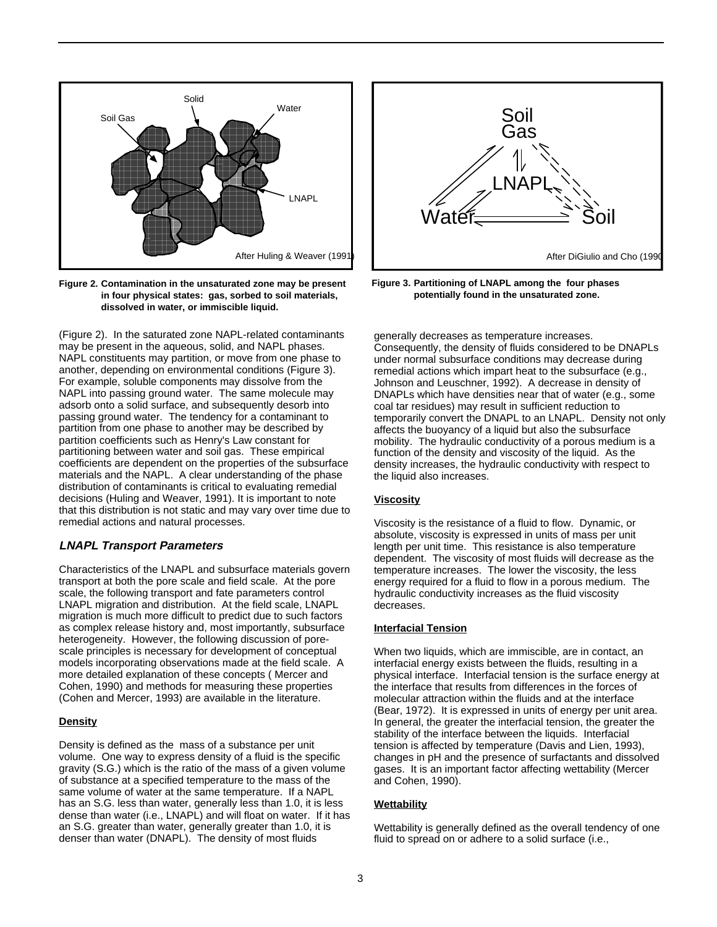

**Figure 2. Contamination in the unsaturated zone may be present in four physical states: gas, sorbed to soil materials, dissolved in water, or immiscible liquid.**

(Figure 2). In the saturated zone NAPL-related contaminants may be present in the aqueous, solid, and NAPL phases. NAPL constituents may partition, or move from one phase to another, depending on environmental conditions (Figure 3). For example, soluble components may dissolve from the NAPL into passing ground water. The same molecule may adsorb onto a solid surface, and subsequently desorb into passing ground water. The tendency for a contaminant to partition from one phase to another may be described by partition coefficients such as Henry's Law constant for partitioning between water and soil gas. These empirical coefficients are dependent on the properties of the subsurface materials and the NAPL. A clear understanding of the phase distribution of contaminants is critical to evaluating remedial decisions (Huling and Weaver, 1991). It is important to note that this distribution is not static and may vary over time due to remedial actions and natural processes.

## **LNAPL Transport Parameters**

Characteristics of the LNAPL and subsurface materials govern transport at both the pore scale and field scale. At the pore scale, the following transport and fate parameters control LNAPL migration and distribution. At the field scale, LNAPL migration is much more difficult to predict due to such factors as complex release history and, most importantly, subsurface heterogeneity. However, the following discussion of porescale principles is necessary for development of conceptual models incorporating observations made at the field scale. A more detailed explanation of these concepts ( Mercer and Cohen, 1990) and methods for measuring these properties (Cohen and Mercer, 1993) are available in the literature.

## **Density**

Density is defined as the mass of a substance per unit volume. One way to express density of a fluid is the specific gravity (S.G.) which is the ratio of the mass of a given volume of substance at a specified temperature to the mass of the same volume of water at the same temperature. If a NAPL has an S.G. less than water, generally less than 1.0, it is less dense than water (i.e., LNAPL) and will float on water. If it has an S.G. greater than water, generally greater than 1.0, it is denser than water (DNAPL). The density of most fluids



**Figure 3. Partitioning of LNAPL among the four phases potentially found in the unsaturated zone.**

generally decreases as temperature increases. Consequently, the density of fluids considered to be DNAPLs under normal subsurface conditions may decrease during remedial actions which impart heat to the subsurface (e.g., Johnson and Leuschner, 1992). A decrease in density of DNAPLs which have densities near that of water (e.g., some coal tar residues) may result in sufficient reduction to temporarily convert the DNAPL to an LNAPL. Density not only affects the buoyancy of a liquid but also the subsurface mobility. The hydraulic conductivity of a porous medium is a function of the density and viscosity of the liquid. As the density increases, the hydraulic conductivity with respect to the liquid also increases.

## **Viscosity**

Viscosity is the resistance of a fluid to flow. Dynamic, or absolute, viscosity is expressed in units of mass per unit length per unit time. This resistance is also temperature dependent. The viscosity of most fluids will decrease as the temperature increases. The lower the viscosity, the less energy required for a fluid to flow in a porous medium. The hydraulic conductivity increases as the fluid viscosity decreases.

#### **Interfacial Tension**

When two liquids, which are immiscible, are in contact, an interfacial energy exists between the fluids, resulting in a physical interface. Interfacial tension is the surface energy at the interface that results from differences in the forces of molecular attraction within the fluids and at the interface (Bear, 1972). It is expressed in units of energy per unit area. In general, the greater the interfacial tension, the greater the stability of the interface between the liquids. Interfacial tension is affected by temperature (Davis and Lien, 1993), changes in pH and the presence of surfactants and dissolved gases. It is an important factor affecting wettability (Mercer and Cohen, 1990).

#### **Wettability**

Wettability is generally defined as the overall tendency of one fluid to spread on or adhere to a solid surface (i.e.,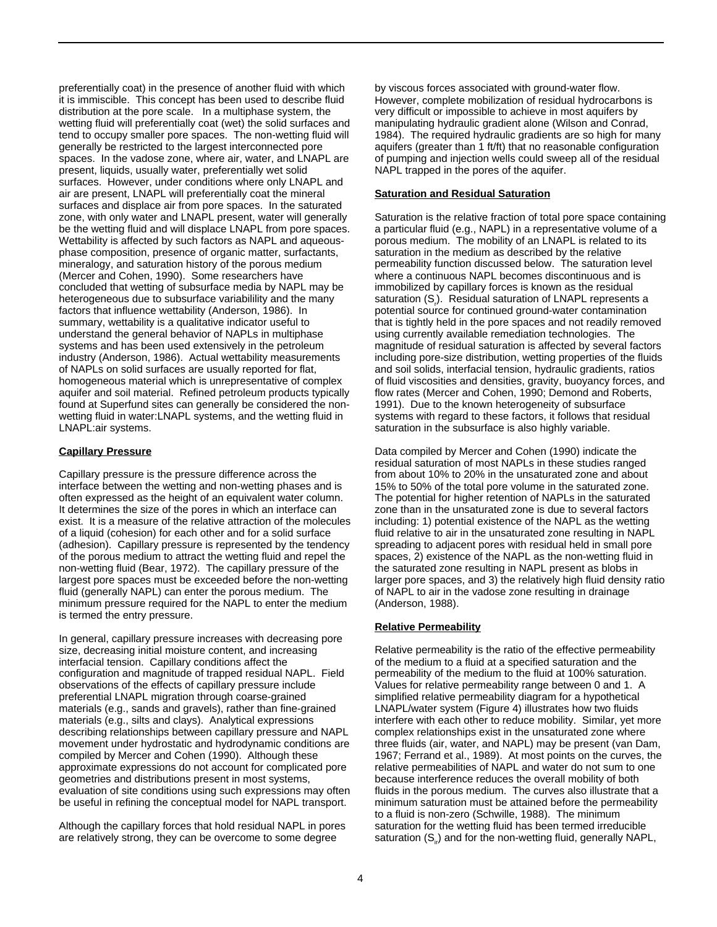preferentially coat) in the presence of another fluid with which it is immiscible. This concept has been used to describe fluid distribution at the pore scale. In a multiphase system, the wetting fluid will preferentially coat (wet) the solid surfaces and tend to occupy smaller pore spaces. The non-wetting fluid will generally be restricted to the largest interconnected pore spaces. In the vadose zone, where air, water, and LNAPL are present, liquids, usually water, preferentially wet solid surfaces. However, under conditions where only LNAPL and air are present, LNAPL will preferentially coat the mineral surfaces and displace air from pore spaces. In the saturated zone, with only water and LNAPL present, water will generally be the wetting fluid and will displace LNAPL from pore spaces. Wettability is affected by such factors as NAPL and aqueousphase composition, presence of organic matter, surfactants, mineralogy, and saturation history of the porous medium (Mercer and Cohen, 1990). Some researchers have concluded that wetting of subsurface media by NAPL may be heterogeneous due to subsurface variabilility and the many factors that influence wettability (Anderson, 1986). In summary, wettability is a qualitative indicator useful to understand the general behavior of NAPLs in multiphase systems and has been used extensively in the petroleum industry (Anderson, 1986). Actual wettability measurements of NAPLs on solid surfaces are usually reported for flat, homogeneous material which is unrepresentative of complex aquifer and soil material. Refined petroleum products typically found at Superfund sites can generally be considered the nonwetting fluid in water:LNAPL systems, and the wetting fluid in LNAPL:air systems.

### **Capillary Pressure**

Capillary pressure is the pressure difference across the interface between the wetting and non-wetting phases and is often expressed as the height of an equivalent water column. It determines the size of the pores in which an interface can exist. It is a measure of the relative attraction of the molecules of a liquid (cohesion) for each other and for a solid surface (adhesion). Capillary pressure is represented by the tendency of the porous medium to attract the wetting fluid and repel the non-wetting fluid (Bear, 1972). The capillary pressure of the largest pore spaces must be exceeded before the non-wetting fluid (generally NAPL) can enter the porous medium. The minimum pressure required for the NAPL to enter the medium is termed the entry pressure.

In general, capillary pressure increases with decreasing pore size, decreasing initial moisture content, and increasing interfacial tension. Capillary conditions affect the configuration and magnitude of trapped residual NAPL. Field observations of the effects of capillary pressure include preferential LNAPL migration through coarse-grained materials (e.g., sands and gravels), rather than fine-grained materials (e.g., silts and clays). Analytical expressions describing relationships between capillary pressure and NAPL movement under hydrostatic and hydrodynamic conditions are compiled by Mercer and Cohen (1990). Although these approximate expressions do not account for complicated pore geometries and distributions present in most systems, evaluation of site conditions using such expressions may often be useful in refining the conceptual model for NAPL transport.

Although the capillary forces that hold residual NAPL in pores are relatively strong, they can be overcome to some degree

by viscous forces associated with ground-water flow. However, complete mobilization of residual hydrocarbons is very difficult or impossible to achieve in most aquifers by manipulating hydraulic gradient alone (Wilson and Conrad, 1984). The required hydraulic gradients are so high for many aquifers (greater than 1 ft/ft) that no reasonable configuration of pumping and injection wells could sweep all of the residual NAPL trapped in the pores of the aquifer.

#### **Saturation and Residual Saturation**

Saturation is the relative fraction of total pore space containing a particular fluid (e.g., NAPL) in a representative volume of a porous medium. The mobility of an LNAPL is related to its saturation in the medium as described by the relative permeability function discussed below. The saturation level where a continuous NAPL becomes discontinuous and is immobilized by capillary forces is known as the residual saturation (S<sub>r</sub>). Residual saturation of LNAPL represents a potential source for continued ground-water contamination that is tightly held in the pore spaces and not readily removed using currently available remediation technologies. The magnitude of residual saturation is affected by several factors including pore-size distribution, wetting properties of the fluids and soil solids, interfacial tension, hydraulic gradients, ratios of fluid viscosities and densities, gravity, buoyancy forces, and flow rates (Mercer and Cohen, 1990; Demond and Roberts, 1991). Due to the known heterogeneity of subsurface systems with regard to these factors, it follows that residual saturation in the subsurface is also highly variable.

Data compiled by Mercer and Cohen (1990) indicate the residual saturation of most NAPLs in these studies ranged from about 10% to 20% in the unsaturated zone and about 15% to 50% of the total pore volume in the saturated zone. The potential for higher retention of NAPLs in the saturated zone than in the unsaturated zone is due to several factors including: 1) potential existence of the NAPL as the wetting fluid relative to air in the unsaturated zone resulting in NAPL spreading to adjacent pores with residual held in small pore spaces, 2) existence of the NAPL as the non-wetting fluid in the saturated zone resulting in NAPL present as blobs in larger pore spaces, and 3) the relatively high fluid density ratio of NAPL to air in the vadose zone resulting in drainage (Anderson, 1988).

#### **Relative Permeability**

Relative permeability is the ratio of the effective permeability of the medium to a fluid at a specified saturation and the permeability of the medium to the fluid at 100% saturation. Values for relative permeability range between 0 and 1. A simplified relative permeability diagram for a hypothetical LNAPL/water system (Figure 4) illustrates how two fluids interfere with each other to reduce mobility. Similar, yet more complex relationships exist in the unsaturated zone where three fluids (air, water, and NAPL) may be present (van Dam, 1967; Ferrand et al., 1989). At most points on the curves, the relative permeabilities of NAPL and water do not sum to one because interference reduces the overall mobility of both fluids in the porous medium. The curves also illustrate that a minimum saturation must be attained before the permeability to a fluid is non-zero (Schwille, 1988). The minimum saturation for the wetting fluid has been termed irreducible saturation  $(S_i)$  and for the non-wetting fluid, generally NAPL,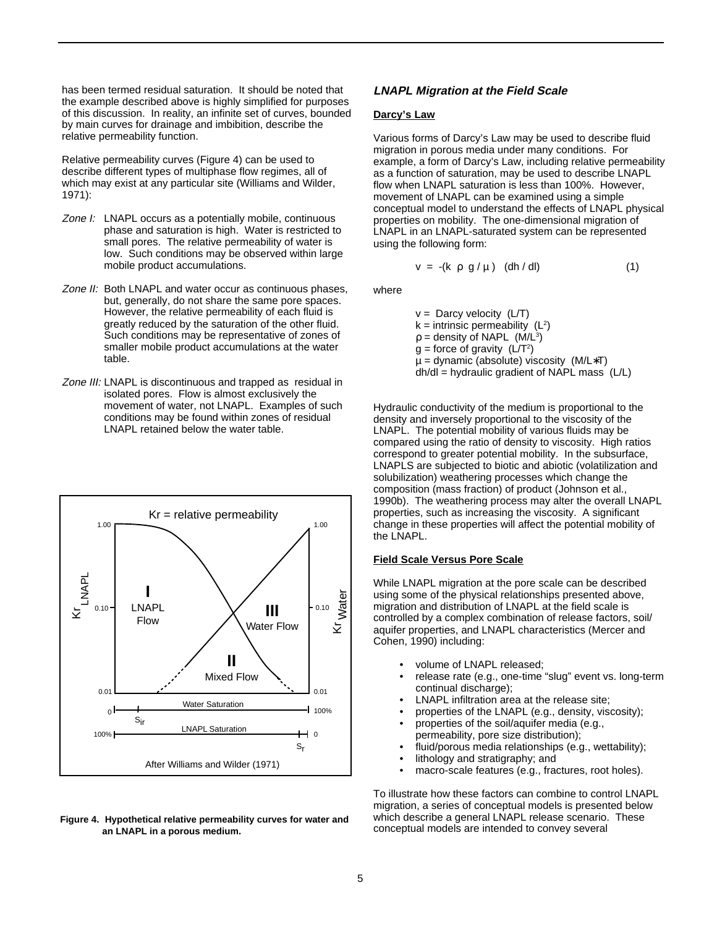has been termed residual saturation. It should be noted that the example described above is highly simplified for purposes of this discussion. In reality, an infinite set of curves, bounded by main curves for drainage and imbibition, describe the relative permeability function.

Relative permeability curves (Figure 4) can be used to describe different types of multiphase flow regimes, all of which may exist at any particular site (Williams and Wilder, 1971):

- Zone I: LNAPL occurs as a potentially mobile, continuous phase and saturation is high. Water is restricted to small pores. The relative permeability of water is low. Such conditions may be observed within large mobile product accumulations.
- Zone II: Both LNAPL and water occur as continuous phases, but, generally, do not share the same pore spaces. However, the relative permeability of each fluid is greatly reduced by the saturation of the other fluid. Such conditions may be representative of zones of smaller mobile product accumulations at the water table.
- Zone III: LNAPL is discontinuous and trapped as residual in isolated pores. Flow is almost exclusively the movement of water, not LNAPL. Examples of such conditions may be found within zones of residual LNAPL retained below the water table.



#### **Figure 4. Hypothetical relative permeability curves for water and** which describe a general LNAPL release scenario.<br>conceptual models are intended to convey several **an LNAPL in a porous medium.**

## **LNAPL Migration at the Field Scale**

#### **Darcy's Law**

Various forms of Darcy's Law may be used to describe fluid migration in porous media under many conditions. For example, a form of Darcy's Law, including relative permeability as a function of saturation, may be used to describe LNAPL flow when LNAPL saturation is less than 100%. However, movement of LNAPL can be examined using a simple conceptual model to understand the effects of LNAPL physical properties on mobility. The one-dimensional migration of LNAPL in an LNAPL-saturated system can be represented using the following form:

$$
v = -(k \rho g/\mu) (dh/dl)
$$
 (1)

where

 $v =$  Darcy velocity (L/T)  $k =$  intrinsic permeability ( $L^2$ )  $p =$  density of NAPL (M/L<sup>3</sup>)  $g =$  force of gravity (L/T<sup>2</sup>) µ = dynamic (absolute) viscosity (M/L∗T) dh/dl = hydraulic gradient of NAPL mass (L/L)

Hydraulic conductivity of the medium is proportional to the density and inversely proportional to the viscosity of the LNAPL. The potential mobility of various fluids may be compared using the ratio of density to viscosity. High ratios correspond to greater potential mobility. In the subsurface, LNAPLS are subjected to biotic and abiotic (volatilization and solubilization) weathering processes which change the composition (mass fraction) of product (Johnson et al., 1990b). The weathering process may alter the overall LNAPL properties, such as increasing the viscosity. A significant change in these properties will affect the potential mobility of the LNAPL.

#### **Field Scale Versus Pore Scale**

While LNAPL migration at the pore scale can be described using some of the physical relationships presented above, migration and distribution of LNAPL at the field scale is controlled by a complex combination of release factors, soil/ aquifer properties, and LNAPL characteristics (Mercer and Cohen, 1990) including:

- volume of LNAPL released;
- release rate (e.g., one-time "slug" event vs. long-term continual discharge);
- LNAPL infiltration area at the release site;
- properties of the LNAPL (e.g., density, viscosity);
- properties of the soil/aquifer media (e.g., permeability, pore size distribution);
- fluid/porous media relationships (e.g., wettability);
- lithology and stratigraphy; and
- macro-scale features (e.g., fractures, root holes).

To illustrate how these factors can combine to control LNAPL migration, a series of conceptual models is presented below which describe a general LNAPL release scenario. These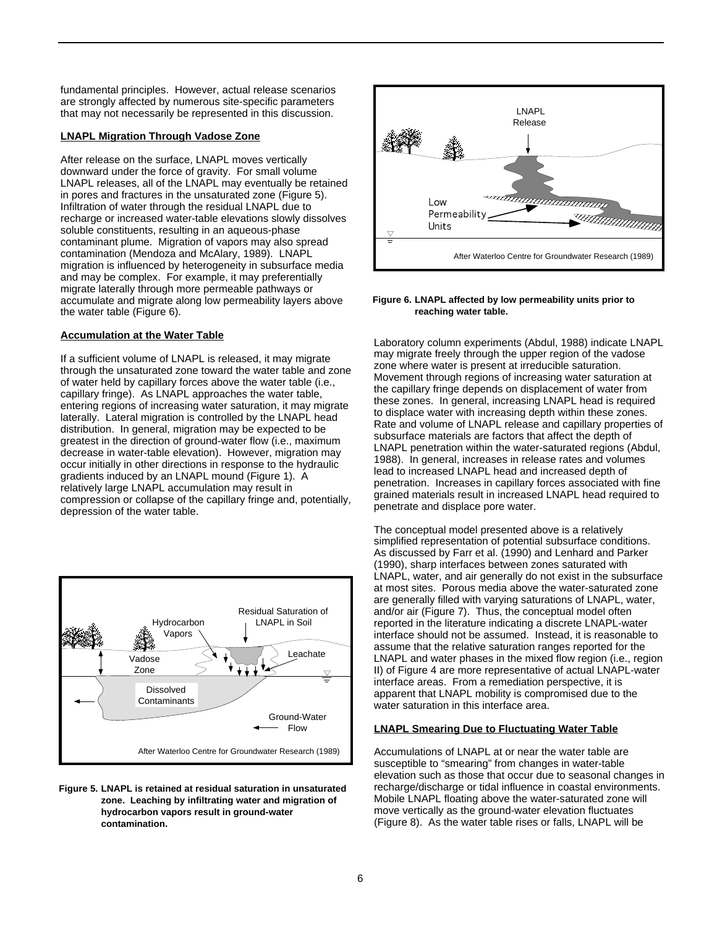fundamental principles. However, actual release scenarios are strongly affected by numerous site-specific parameters that may not necessarily be represented in this discussion.

#### **LNAPL Migration Through Vadose Zone**

After release on the surface, LNAPL moves vertically downward under the force of gravity. For small volume LNAPL releases, all of the LNAPL may eventually be retained in pores and fractures in the unsaturated zone (Figure 5). Infiltration of water through the residual LNAPL due to recharge or increased water-table elevations slowly dissolves soluble constituents, resulting in an aqueous-phase contaminant plume. Migration of vapors may also spread contamination (Mendoza and McAlary, 1989). LNAPL migration is influenced by heterogeneity in subsurface media and may be complex. For example, it may preferentially migrate laterally through more permeable pathways or accumulate and migrate along low permeability layers above the water table (Figure 6).

### **Accumulation at the Water Table**

If a sufficient volume of LNAPL is released, it may migrate through the unsaturated zone toward the water table and zone of water held by capillary forces above the water table (i.e., capillary fringe). As LNAPL approaches the water table, entering regions of increasing water saturation, it may migrate laterally. Lateral migration is controlled by the LNAPL head distribution. In general, migration may be expected to be greatest in the direction of ground-water flow (i.e., maximum decrease in water-table elevation). However, migration may occur initially in other directions in response to the hydraulic gradients induced by an LNAPL mound (Figure 1). A relatively large LNAPL accumulation may result in compression or collapse of the capillary fringe and, potentially, depression of the water table.



#### **Figure 5. LNAPL is retained at residual saturation in unsaturated zone. Leaching by infiltrating water and migration of hydrocarbon vapors result in ground-water contamination.**



#### **Figure 6. LNAPL affected by low permeability units prior to reaching water table.**

Laboratory column experiments (Abdul, 1988) indicate LNAPL may migrate freely through the upper region of the vadose zone where water is present at irreducible saturation. Movement through regions of increasing water saturation at the capillary fringe depends on displacement of water from these zones. In general, increasing LNAPL head is required to displace water with increasing depth within these zones. Rate and volume of LNAPL release and capillary properties of subsurface materials are factors that affect the depth of LNAPL penetration within the water-saturated regions (Abdul, 1988). In general, increases in release rates and volumes lead to increased LNAPL head and increased depth of penetration. Increases in capillary forces associated with fine grained materials result in increased LNAPL head required to penetrate and displace pore water.

The conceptual model presented above is a relatively simplified representation of potential subsurface conditions. As discussed by Farr et al. (1990) and Lenhard and Parker (1990), sharp interfaces between zones saturated with LNAPL, water, and air generally do not exist in the subsurface at most sites. Porous media above the water-saturated zone are generally filled with varying saturations of LNAPL, water, and/or air (Figure 7). Thus, the conceptual model often reported in the literature indicating a discrete LNAPL-water interface should not be assumed. Instead, it is reasonable to assume that the relative saturation ranges reported for the LNAPL and water phases in the mixed flow region (i.e., region II) of Figure 4 are more representative of actual LNAPL-water interface areas. From a remediation perspective, it is apparent that LNAPL mobility is compromised due to the water saturation in this interface area.

## **LNAPL Smearing Due to Fluctuating Water Table**

Accumulations of LNAPL at or near the water table are susceptible to "smearing" from changes in water-table elevation such as those that occur due to seasonal changes in recharge/discharge or tidal influence in coastal environments. Mobile LNAPL floating above the water-saturated zone will move vertically as the ground-water elevation fluctuates (Figure 8). As the water table rises or falls, LNAPL will be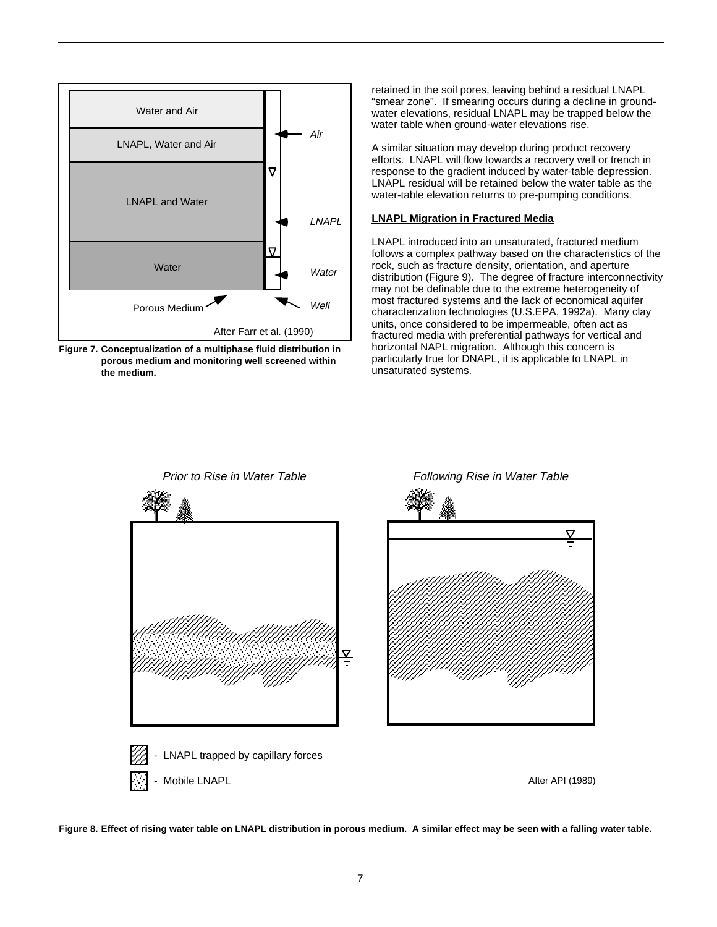

**Figure 7. Conceptualization of a multiphase fluid distribution in porous medium and monitoring well screened within the medium.**

retained in the soil pores, leaving behind a residual LNAPL "smear zone". If smearing occurs during a decline in groundwater elevations, residual LNAPL may be trapped below the water table when ground-water elevations rise.

A similar situation may develop during product recovery efforts. LNAPL will flow towards a recovery well or trench in response to the gradient induced by water-table depression. LNAPL residual will be retained below the water table as the water-table elevation returns to pre-pumping conditions.

#### **LNAPL Migration in Fractured Media**

LNAPL introduced into an unsaturated, fractured medium follows a complex pathway based on the characteristics of the rock, such as fracture density, orientation, and aperture distribution (Figure 9). The degree of fracture interconnectivity may not be definable due to the extreme heterogeneity of most fractured systems and the lack of economical aquifer characterization technologies (U.S.EPA, 1992a). Many clay units, once considered to be impermeable, often act as fractured media with preferential pathways for vertical and horizontal NAPL migration. Although this concern is particularly true for DNAPL, it is applicable to LNAPL in unsaturated systems.



**Figure 8. Effect of rising water table on LNAPL distribution in porous medium. A similar effect may be seen with a falling water table.**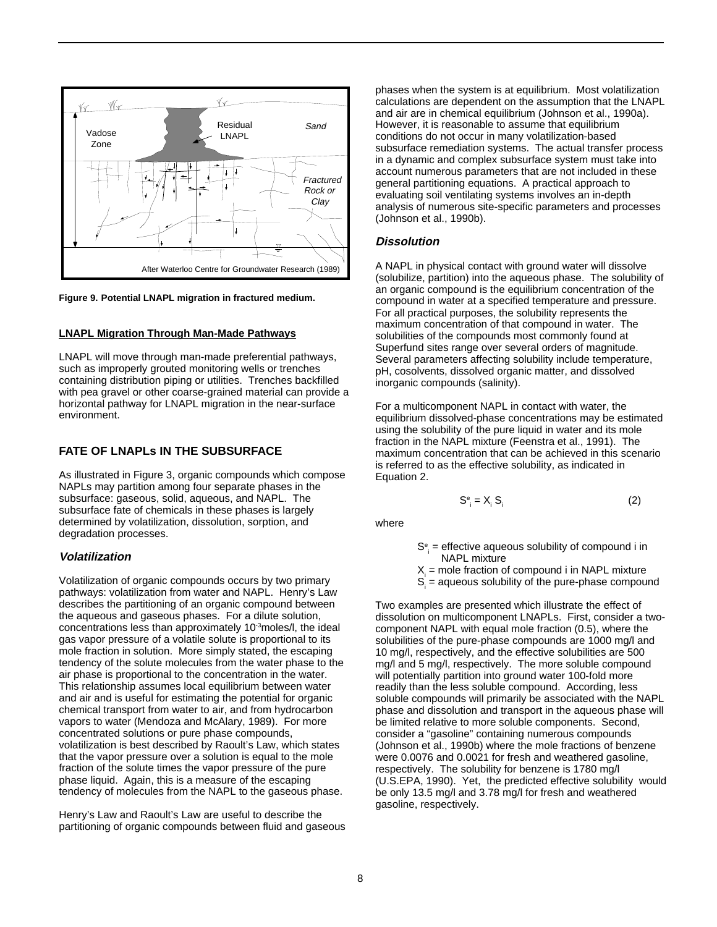

**Figure 9. Potential LNAPL migration in fractured medium.**

#### **LNAPL Migration Through Man-Made Pathways**

LNAPL will move through man-made preferential pathways, such as improperly grouted monitoring wells or trenches containing distribution piping or utilities. Trenches backfilled with pea gravel or other coarse-grained material can provide a horizontal pathway for LNAPL migration in the near-surface environment.

## **FATE OF LNAPLs IN THE SUBSURFACE**

As illustrated in Figure 3, organic compounds which compose NAPLs may partition among four separate phases in the subsurface: gaseous, solid, aqueous, and NAPL. The subsurface fate of chemicals in these phases is largely determined by volatilization, dissolution, sorption, and degradation processes.

### **Volatilization**

Volatilization of organic compounds occurs by two primary pathways: volatilization from water and NAPL. Henry's Law describes the partitioning of an organic compound between the aqueous and gaseous phases. For a dilute solution, concentrations less than approximately 10<sup>-3</sup>moles/l, the ideal gas vapor pressure of a volatile solute is proportional to its mole fraction in solution. More simply stated, the escaping tendency of the solute molecules from the water phase to the air phase is proportional to the concentration in the water. This relationship assumes local equilibrium between water and air and is useful for estimating the potential for organic chemical transport from water to air, and from hydrocarbon vapors to water (Mendoza and McAlary, 1989). For more concentrated solutions or pure phase compounds, volatilization is best described by Raoult's Law, which states that the vapor pressure over a solution is equal to the mole fraction of the solute times the vapor pressure of the pure phase liquid. Again, this is a measure of the escaping tendency of molecules from the NAPL to the gaseous phase.

Henry's Law and Raoult's Law are useful to describe the partitioning of organic compounds between fluid and gaseous phases when the system is at equilibrium. Most volatilization calculations are dependent on the assumption that the LNAPL and air are in chemical equilibrium (Johnson et al., 1990a). However, it is reasonable to assume that equilibrium conditions do not occur in many volatilization-based subsurface remediation systems. The actual transfer process in a dynamic and complex subsurface system must take into account numerous parameters that are not included in these general partitioning equations. A practical approach to evaluating soil ventilating systems involves an in-depth analysis of numerous site-specific parameters and processes (Johnson et al., 1990b).

#### **Dissolution**

A NAPL in physical contact with ground water will dissolve (solubilize, partition) into the aqueous phase. The solubility of an organic compound is the equilibrium concentration of the compound in water at a specified temperature and pressure. For all practical purposes, the solubility represents the maximum concentration of that compound in water. The solubilities of the compounds most commonly found at Superfund sites range over several orders of magnitude. Several parameters affecting solubility include temperature, pH, cosolvents, dissolved organic matter, and dissolved inorganic compounds (salinity).

For a multicomponent NAPL in contact with water, the equilibrium dissolved-phase concentrations may be estimated using the solubility of the pure liquid in water and its mole fraction in the NAPL mixture (Feenstra et al., 1991). The maximum concentration that can be achieved in this scenario is referred to as the effective solubility, as indicated in Equation 2.

$$
S_{i}^{\circ} = X_{i} S_{i}
$$
 (2)

where

- $S_{\ \, \cdot \,}^{\text{e}}$  = effective aqueous solubility of compound i in NAPL mixture
- $X_i$  = mole fraction of compound i in NAPL mixture
- $S_i$  = aqueous solubility of the pure-phase compound

Two examples are presented which illustrate the effect of dissolution on multicomponent LNAPLs. First, consider a twocomponent NAPL with equal mole fraction (0.5), where the solubilities of the pure-phase compounds are 1000 mg/l and 10 mg/l, respectively, and the effective solubilities are 500 mg/l and 5 mg/l, respectively. The more soluble compound will potentially partition into ground water 100-fold more readily than the less soluble compound. According, less soluble compounds will primarily be associated with the NAPL phase and dissolution and transport in the aqueous phase will be limited relative to more soluble components. Second, consider a "gasoline" containing numerous compounds (Johnson et al., 1990b) where the mole fractions of benzene were 0.0076 and 0.0021 for fresh and weathered gasoline, respectively. The solubility for benzene is 1780 mg/l (U.S.EPA, 1990). Yet, the predicted effective solubility would be only 13.5 mg/l and 3.78 mg/l for fresh and weathered gasoline, respectively.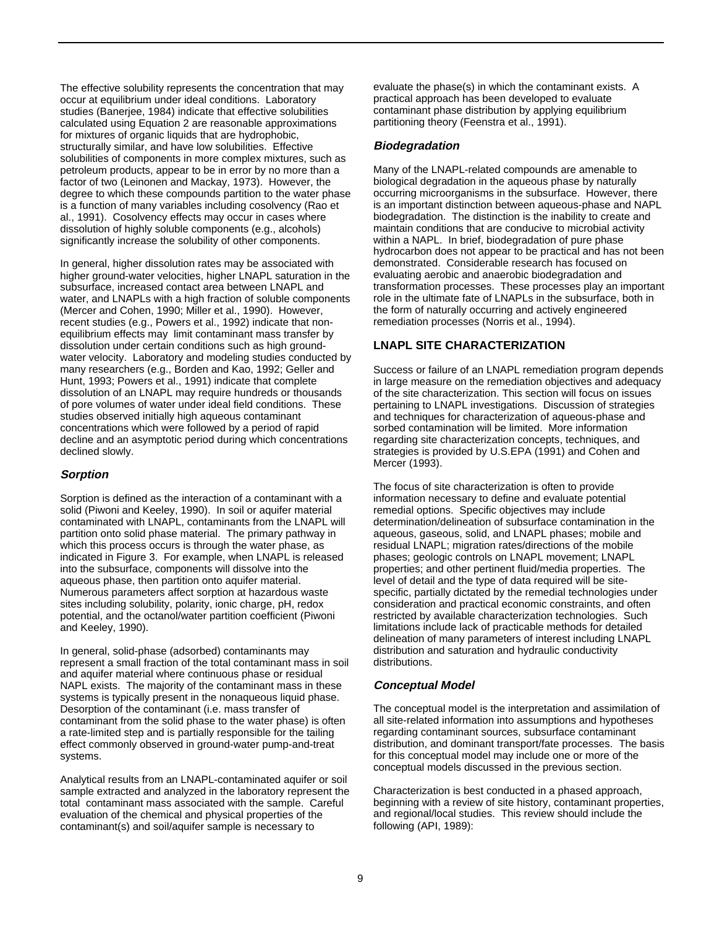The effective solubility represents the concentration that may occur at equilibrium under ideal conditions. Laboratory studies (Banerjee, 1984) indicate that effective solubilities calculated using Equation 2 are reasonable approximations for mixtures of organic liquids that are hydrophobic, structurally similar, and have low solubilities. Effective solubilities of components in more complex mixtures, such as petroleum products, appear to be in error by no more than a factor of two (Leinonen and Mackay, 1973). However, the degree to which these compounds partition to the water phase is a function of many variables including cosolvency (Rao et al., 1991). Cosolvency effects may occur in cases where dissolution of highly soluble components (e.g., alcohols) significantly increase the solubility of other components.

In general, higher dissolution rates may be associated with higher ground-water velocities, higher LNAPL saturation in the subsurface, increased contact area between LNAPL and water, and LNAPLs with a high fraction of soluble components (Mercer and Cohen, 1990; Miller et al., 1990). However, recent studies (e.g., Powers et al., 1992) indicate that nonequilibrium effects may limit contaminant mass transfer by dissolution under certain conditions such as high groundwater velocity. Laboratory and modeling studies conducted by many researchers (e.g., Borden and Kao, 1992; Geller and Hunt, 1993; Powers et al., 1991) indicate that complete dissolution of an LNAPL may require hundreds or thousands of pore volumes of water under ideal field conditions. These studies observed initially high aqueous contaminant concentrations which were followed by a period of rapid decline and an asymptotic period during which concentrations declined slowly.

## **Sorption**

Sorption is defined as the interaction of a contaminant with a solid (Piwoni and Keeley, 1990). In soil or aquifer material contaminated with LNAPL, contaminants from the LNAPL will partition onto solid phase material. The primary pathway in which this process occurs is through the water phase, as indicated in Figure 3. For example, when LNAPL is released into the subsurface, components will dissolve into the aqueous phase, then partition onto aquifer material. Numerous parameters affect sorption at hazardous waste sites including solubility, polarity, ionic charge, pH, redox potential, and the octanol/water partition coefficient (Piwoni and Keeley, 1990).

In general, solid-phase (adsorbed) contaminants may represent a small fraction of the total contaminant mass in soil and aquifer material where continuous phase or residual NAPL exists. The majority of the contaminant mass in these systems is typically present in the nonaqueous liquid phase. Desorption of the contaminant (i.e. mass transfer of contaminant from the solid phase to the water phase) is often a rate-limited step and is partially responsible for the tailing effect commonly observed in ground-water pump-and-treat systems.

Analytical results from an LNAPL-contaminated aquifer or soil sample extracted and analyzed in the laboratory represent the total contaminant mass associated with the sample. Careful evaluation of the chemical and physical properties of the contaminant(s) and soil/aquifer sample is necessary to

evaluate the phase(s) in which the contaminant exists. A practical approach has been developed to evaluate contaminant phase distribution by applying equilibrium partitioning theory (Feenstra et al., 1991).

## **Biodegradation**

Many of the LNAPL-related compounds are amenable to biological degradation in the aqueous phase by naturally occurring microorganisms in the subsurface. However, there is an important distinction between aqueous-phase and NAPL biodegradation. The distinction is the inability to create and maintain conditions that are conducive to microbial activity within a NAPL. In brief, biodegradation of pure phase hydrocarbon does not appear to be practical and has not been demonstrated. Considerable research has focused on evaluating aerobic and anaerobic biodegradation and transformation processes. These processes play an important role in the ultimate fate of LNAPLs in the subsurface, both in the form of naturally occurring and actively engineered remediation processes (Norris et al., 1994).

## **LNAPL SITE CHARACTERIZATION**

Success or failure of an LNAPL remediation program depends in large measure on the remediation objectives and adequacy of the site characterization. This section will focus on issues pertaining to LNAPL investigations. Discussion of strategies and techniques for characterization of aqueous-phase and sorbed contamination will be limited. More information regarding site characterization concepts, techniques, and strategies is provided by U.S.EPA (1991) and Cohen and Mercer (1993).

The focus of site characterization is often to provide information necessary to define and evaluate potential remedial options. Specific objectives may include determination/delineation of subsurface contamination in the aqueous, gaseous, solid, and LNAPL phases; mobile and residual LNAPL; migration rates/directions of the mobile phases; geologic controls on LNAPL movement; LNAPL properties; and other pertinent fluid/media properties. The level of detail and the type of data required will be sitespecific, partially dictated by the remedial technologies under consideration and practical economic constraints, and often restricted by available characterization technologies. Such limitations include lack of practicable methods for detailed delineation of many parameters of interest including LNAPL distribution and saturation and hydraulic conductivity distributions.

## **Conceptual Model**

The conceptual model is the interpretation and assimilation of all site-related information into assumptions and hypotheses regarding contaminant sources, subsurface contaminant distribution, and dominant transport/fate processes. The basis for this conceptual model may include one or more of the conceptual models discussed in the previous section.

Characterization is best conducted in a phased approach, beginning with a review of site history, contaminant properties, and regional/local studies. This review should include the following (API, 1989):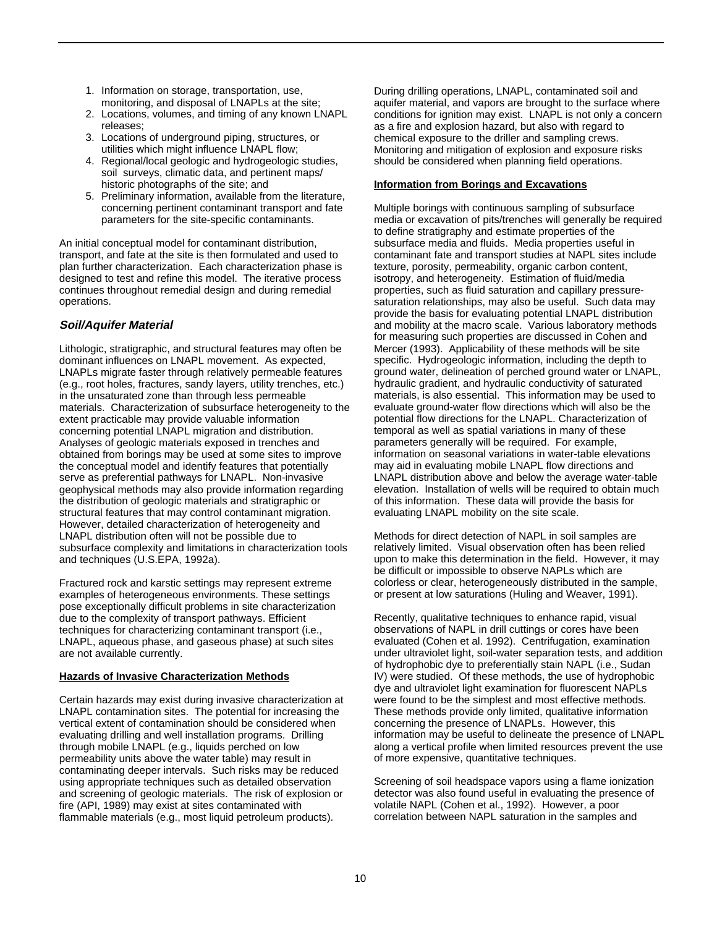- 1. Information on storage, transportation, use, monitoring, and disposal of LNAPLs at the site;
- 2. Locations, volumes, and timing of any known LNAPL releases;
- 3. Locations of underground piping, structures, or utilities which might influence LNAPL flow;
- 4. Regional/local geologic and hydrogeologic studies, soil surveys, climatic data, and pertinent maps/ historic photographs of the site; and
- 5. Preliminary information, available from the literature, concerning pertinent contaminant transport and fate parameters for the site-specific contaminants.

An initial conceptual model for contaminant distribution, transport, and fate at the site is then formulated and used to plan further characterization. Each characterization phase is designed to test and refine this model. The iterative process continues throughout remedial design and during remedial operations.

## **Soil/Aquifer Material**

Lithologic, stratigraphic, and structural features may often be dominant influences on LNAPL movement. As expected, LNAPLs migrate faster through relatively permeable features (e.g., root holes, fractures, sandy layers, utility trenches, etc.) in the unsaturated zone than through less permeable materials. Characterization of subsurface heterogeneity to the extent practicable may provide valuable information concerning potential LNAPL migration and distribution. Analyses of geologic materials exposed in trenches and obtained from borings may be used at some sites to improve the conceptual model and identify features that potentially serve as preferential pathways for LNAPL. Non-invasive geophysical methods may also provide information regarding the distribution of geologic materials and stratigraphic or structural features that may control contaminant migration. However, detailed characterization of heterogeneity and LNAPL distribution often will not be possible due to subsurface complexity and limitations in characterization tools and techniques (U.S.EPA, 1992a).

Fractured rock and karstic settings may represent extreme examples of heterogeneous environments. These settings pose exceptionally difficult problems in site characterization due to the complexity of transport pathways. Efficient techniques for characterizing contaminant transport (i.e., LNAPL, aqueous phase, and gaseous phase) at such sites are not available currently.

#### **Hazards of Invasive Characterization Methods**

Certain hazards may exist during invasive characterization at LNAPL contamination sites. The potential for increasing the vertical extent of contamination should be considered when evaluating drilling and well installation programs. Drilling through mobile LNAPL (e.g., liquids perched on low permeability units above the water table) may result in contaminating deeper intervals. Such risks may be reduced using appropriate techniques such as detailed observation and screening of geologic materials. The risk of explosion or fire (API, 1989) may exist at sites contaminated with flammable materials (e.g., most liquid petroleum products).

During drilling operations, LNAPL, contaminated soil and aquifer material, and vapors are brought to the surface where conditions for ignition may exist. LNAPL is not only a concern as a fire and explosion hazard, but also with regard to chemical exposure to the driller and sampling crews. Monitoring and mitigation of explosion and exposure risks should be considered when planning field operations.

### **Information from Borings and Excavations**

Multiple borings with continuous sampling of subsurface media or excavation of pits/trenches will generally be required to define stratigraphy and estimate properties of the subsurface media and fluids. Media properties useful in contaminant fate and transport studies at NAPL sites include texture, porosity, permeability, organic carbon content, isotropy, and heterogeneity. Estimation of fluid/media properties, such as fluid saturation and capillary pressuresaturation relationships, may also be useful. Such data may provide the basis for evaluating potential LNAPL distribution and mobility at the macro scale. Various laboratory methods for measuring such properties are discussed in Cohen and Mercer (1993). Applicability of these methods will be site specific. Hydrogeologic information, including the depth to ground water, delineation of perched ground water or LNAPL, hydraulic gradient, and hydraulic conductivity of saturated materials, is also essential. This information may be used to evaluate ground-water flow directions which will also be the potential flow directions for the LNAPL. Characterization of temporal as well as spatial variations in many of these parameters generally will be required. For example, information on seasonal variations in water-table elevations may aid in evaluating mobile LNAPL flow directions and LNAPL distribution above and below the average water-table elevation. Installation of wells will be required to obtain much of this information. These data will provide the basis for evaluating LNAPL mobility on the site scale.

Methods for direct detection of NAPL in soil samples are relatively limited. Visual observation often has been relied upon to make this determination in the field. However, it may be difficult or impossible to observe NAPLs which are colorless or clear, heterogeneously distributed in the sample, or present at low saturations (Huling and Weaver, 1991).

Recently, qualitative techniques to enhance rapid, visual observations of NAPL in drill cuttings or cores have been evaluated (Cohen et al. 1992). Centrifugation, examination under ultraviolet light, soil-water separation tests, and addition of hydrophobic dye to preferentially stain NAPL (i.e., Sudan IV) were studied. Of these methods, the use of hydrophobic dye and ultraviolet light examination for fluorescent NAPLs were found to be the simplest and most effective methods. These methods provide only limited, qualitative information concerning the presence of LNAPLs. However, this information may be useful to delineate the presence of LNAPL along a vertical profile when limited resources prevent the use of more expensive, quantitative techniques.

Screening of soil headspace vapors using a flame ionization detector was also found useful in evaluating the presence of volatile NAPL (Cohen et al., 1992). However, a poor correlation between NAPL saturation in the samples and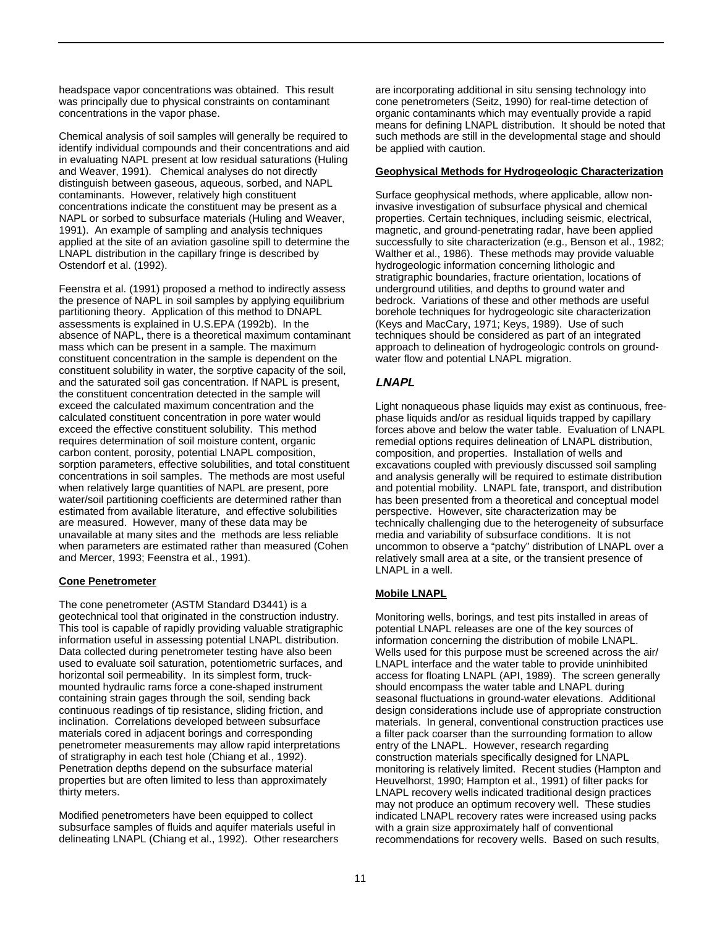headspace vapor concentrations was obtained. This result was principally due to physical constraints on contaminant concentrations in the vapor phase.

Chemical analysis of soil samples will generally be required to identify individual compounds and their concentrations and aid in evaluating NAPL present at low residual saturations (Huling and Weaver, 1991). Chemical analyses do not directly distinguish between gaseous, aqueous, sorbed, and NAPL contaminants. However, relatively high constituent concentrations indicate the constituent may be present as a NAPL or sorbed to subsurface materials (Huling and Weaver, 1991). An example of sampling and analysis techniques applied at the site of an aviation gasoline spill to determine the LNAPL distribution in the capillary fringe is described by Ostendorf et al. (1992).

Feenstra et al. (1991) proposed a method to indirectly assess the presence of NAPL in soil samples by applying equilibrium partitioning theory. Application of this method to DNAPL assessments is explained in U.S.EPA (1992b). In the absence of NAPL, there is a theoretical maximum contaminant mass which can be present in a sample. The maximum constituent concentration in the sample is dependent on the constituent solubility in water, the sorptive capacity of the soil, and the saturated soil gas concentration. If NAPL is present, the constituent concentration detected in the sample will exceed the calculated maximum concentration and the calculated constituent concentration in pore water would exceed the effective constituent solubility. This method requires determination of soil moisture content, organic carbon content, porosity, potential LNAPL composition, sorption parameters, effective solubilities, and total constituent concentrations in soil samples. The methods are most useful when relatively large quantities of NAPL are present, pore water/soil partitioning coefficients are determined rather than estimated from available literature, and effective solubilities are measured. However, many of these data may be unavailable at many sites and the methods are less reliable when parameters are estimated rather than measured (Cohen and Mercer, 1993; Feenstra et al., 1991).

#### **Cone Penetrometer**

The cone penetrometer (ASTM Standard D3441) is a geotechnical tool that originated in the construction industry. This tool is capable of rapidly providing valuable stratigraphic information useful in assessing potential LNAPL distribution. Data collected during penetrometer testing have also been used to evaluate soil saturation, potentiometric surfaces, and horizontal soil permeability. In its simplest form, truckmounted hydraulic rams force a cone-shaped instrument containing strain gages through the soil, sending back continuous readings of tip resistance, sliding friction, and inclination. Correlations developed between subsurface materials cored in adjacent borings and corresponding penetrometer measurements may allow rapid interpretations of stratigraphy in each test hole (Chiang et al., 1992). Penetration depths depend on the subsurface material properties but are often limited to less than approximately thirty meters.

Modified penetrometers have been equipped to collect subsurface samples of fluids and aquifer materials useful in delineating LNAPL (Chiang et al., 1992). Other researchers are incorporating additional in situ sensing technology into cone penetrometers (Seitz, 1990) for real-time detection of organic contaminants which may eventually provide a rapid means for defining LNAPL distribution. It should be noted that such methods are still in the developmental stage and should be applied with caution.

### **Geophysical Methods for Hydrogeologic Characterization**

Surface geophysical methods, where applicable, allow noninvasive investigation of subsurface physical and chemical properties. Certain techniques, including seismic, electrical, magnetic, and ground-penetrating radar, have been applied successfully to site characterization (e.g., Benson et al., 1982; Walther et al., 1986). These methods may provide valuable hydrogeologic information concerning lithologic and stratigraphic boundaries, fracture orientation, locations of underground utilities, and depths to ground water and bedrock. Variations of these and other methods are useful borehole techniques for hydrogeologic site characterization (Keys and MacCary, 1971; Keys, 1989). Use of such techniques should be considered as part of an integrated approach to delineation of hydrogeologic controls on groundwater flow and potential LNAPL migration.

## **LNAPL**

Light nonaqueous phase liquids may exist as continuous, freephase liquids and/or as residual liquids trapped by capillary forces above and below the water table. Evaluation of LNAPL remedial options requires delineation of LNAPL distribution, composition, and properties. Installation of wells and excavations coupled with previously discussed soil sampling and analysis generally will be required to estimate distribution and potential mobility. LNAPL fate, transport, and distribution has been presented from a theoretical and conceptual model perspective. However, site characterization may be technically challenging due to the heterogeneity of subsurface media and variability of subsurface conditions. It is not uncommon to observe a "patchy" distribution of LNAPL over a relatively small area at a site, or the transient presence of LNAPL in a well.

## **Mobile LNAPL**

Monitoring wells, borings, and test pits installed in areas of potential LNAPL releases are one of the key sources of information concerning the distribution of mobile LNAPL. Wells used for this purpose must be screened across the air/ LNAPL interface and the water table to provide uninhibited access for floating LNAPL (API, 1989). The screen generally should encompass the water table and LNAPL during seasonal fluctuations in ground-water elevations. Additional design considerations include use of appropriate construction materials. In general, conventional construction practices use a filter pack coarser than the surrounding formation to allow entry of the LNAPL. However, research regarding construction materials specifically designed for LNAPL monitoring is relatively limited. Recent studies (Hampton and Heuvelhorst, 1990; Hampton et al., 1991) of filter packs for LNAPL recovery wells indicated traditional design practices may not produce an optimum recovery well. These studies indicated LNAPL recovery rates were increased using packs with a grain size approximately half of conventional recommendations for recovery wells. Based on such results,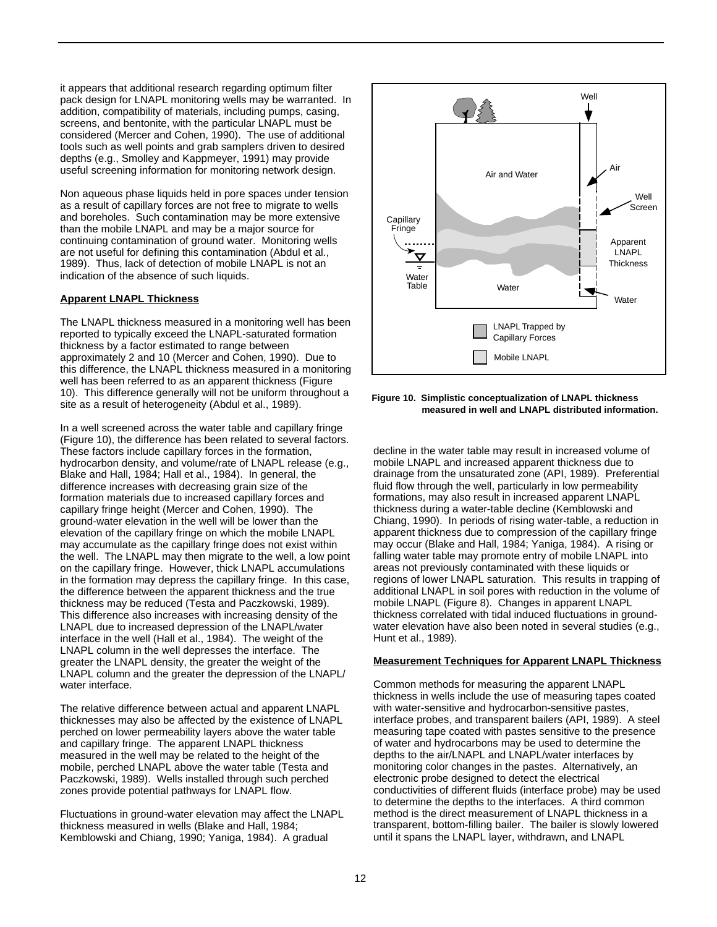it appears that additional research regarding optimum filter pack design for LNAPL monitoring wells may be warranted. In addition, compatibility of materials, including pumps, casing, screens, and bentonite, with the particular LNAPL must be considered (Mercer and Cohen, 1990). The use of additional tools such as well points and grab samplers driven to desired depths (e.g., Smolley and Kappmeyer, 1991) may provide useful screening information for monitoring network design.

Non aqueous phase liquids held in pore spaces under tension as a result of capillary forces are not free to migrate to wells and boreholes. Such contamination may be more extensive than the mobile LNAPL and may be a major source for continuing contamination of ground water. Monitoring wells are not useful for defining this contamination (Abdul et al., 1989). Thus, lack of detection of mobile LNAPL is not an indication of the absence of such liquids.

#### **Apparent LNAPL Thickness**

The LNAPL thickness measured in a monitoring well has been reported to typically exceed the LNAPL-saturated formation thickness by a factor estimated to range between approximately 2 and 10 (Mercer and Cohen, 1990). Due to this difference, the LNAPL thickness measured in a monitoring well has been referred to as an apparent thickness (Figure 10). This difference generally will not be uniform throughout a site as a result of heterogeneity (Abdul et al., 1989).

In a well screened across the water table and capillary fringe (Figure 10), the difference has been related to several factors. These factors include capillary forces in the formation, hydrocarbon density, and volume/rate of LNAPL release (e.g., Blake and Hall, 1984; Hall et al., 1984). In general, the difference increases with decreasing grain size of the formation materials due to increased capillary forces and capillary fringe height (Mercer and Cohen, 1990). The ground-water elevation in the well will be lower than the elevation of the capillary fringe on which the mobile LNAPL may accumulate as the capillary fringe does not exist within the well. The LNAPL may then migrate to the well, a low point on the capillary fringe. However, thick LNAPL accumulations in the formation may depress the capillary fringe. In this case, the difference between the apparent thickness and the true thickness may be reduced (Testa and Paczkowski, 1989). This difference also increases with increasing density of the LNAPL due to increased depression of the LNAPL/water interface in the well (Hall et al., 1984). The weight of the LNAPL column in the well depresses the interface. The greater the LNAPL density, the greater the weight of the LNAPL column and the greater the depression of the LNAPL/ water interface.

The relative difference between actual and apparent LNAPL thicknesses may also be affected by the existence of LNAPL perched on lower permeability layers above the water table and capillary fringe. The apparent LNAPL thickness measured in the well may be related to the height of the mobile, perched LNAPL above the water table (Testa and Paczkowski, 1989). Wells installed through such perched zones provide potential pathways for LNAPL flow.

Fluctuations in ground-water elevation may affect the LNAPL thickness measured in wells (Blake and Hall, 1984; Kemblowski and Chiang, 1990; Yaniga, 1984). A gradual



**Figure 10. Simplistic conceptualization of LNAPL thickness measured in well and LNAPL distributed information.**

decline in the water table may result in increased volume of mobile LNAPL and increased apparent thickness due to drainage from the unsaturated zone (API, 1989). Preferential fluid flow through the well, particularly in low permeability formations, may also result in increased apparent LNAPL thickness during a water-table decline (Kemblowski and Chiang, 1990). In periods of rising water-table, a reduction in apparent thickness due to compression of the capillary fringe may occur (Blake and Hall, 1984; Yaniga, 1984). A rising or falling water table may promote entry of mobile LNAPL into areas not previously contaminated with these liquids or regions of lower LNAPL saturation. This results in trapping of additional LNAPL in soil pores with reduction in the volume of mobile LNAPL (Figure 8). Changes in apparent LNAPL thickness correlated with tidal induced fluctuations in groundwater elevation have also been noted in several studies (e.g., Hunt et al., 1989).

#### **Measurement Techniques for Apparent LNAPL Thickness**

Common methods for measuring the apparent LNAPL thickness in wells include the use of measuring tapes coated with water-sensitive and hydrocarbon-sensitive pastes, interface probes, and transparent bailers (API, 1989). A steel measuring tape coated with pastes sensitive to the presence of water and hydrocarbons may be used to determine the depths to the air/LNAPL and LNAPL/water interfaces by monitoring color changes in the pastes. Alternatively, an electronic probe designed to detect the electrical conductivities of different fluids (interface probe) may be used to determine the depths to the interfaces. A third common method is the direct measurement of LNAPL thickness in a transparent, bottom-filling bailer. The bailer is slowly lowered until it spans the LNAPL layer, withdrawn, and LNAPL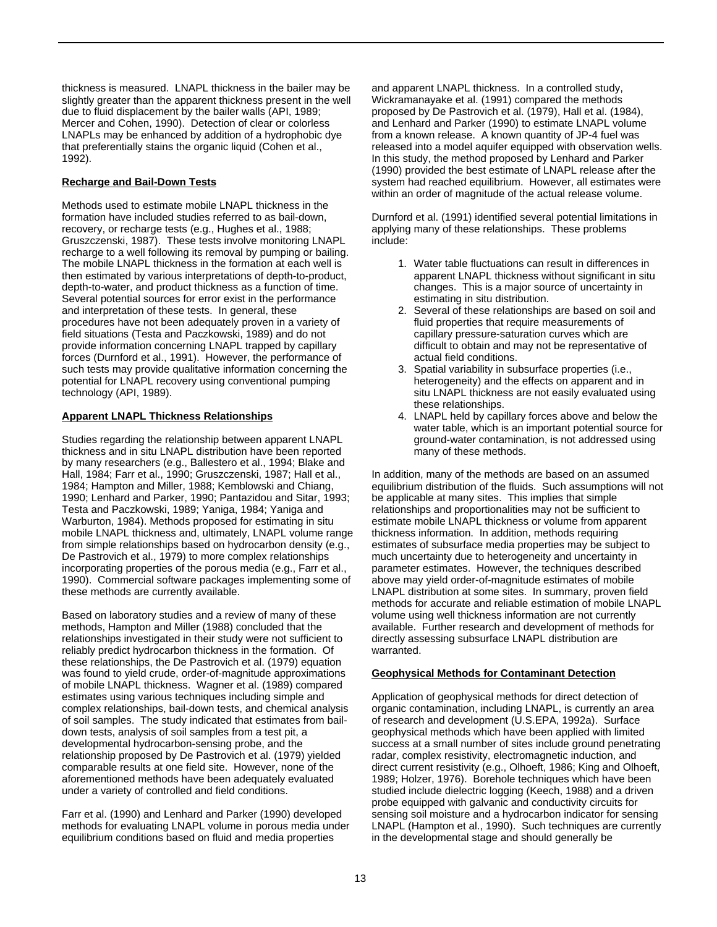thickness is measured. LNAPL thickness in the bailer may be slightly greater than the apparent thickness present in the well due to fluid displacement by the bailer walls (API, 1989; Mercer and Cohen, 1990). Detection of clear or colorless LNAPLs may be enhanced by addition of a hydrophobic dye that preferentially stains the organic liquid (Cohen et al., 1992).

#### **Recharge and Bail-Down Tests**

Methods used to estimate mobile LNAPL thickness in the formation have included studies referred to as bail-down, recovery, or recharge tests (e.g., Hughes et al., 1988; Gruszczenski, 1987). These tests involve monitoring LNAPL recharge to a well following its removal by pumping or bailing. The mobile LNAPL thickness in the formation at each well is then estimated by various interpretations of depth-to-product, depth-to-water, and product thickness as a function of time. Several potential sources for error exist in the performance and interpretation of these tests. In general, these procedures have not been adequately proven in a variety of field situations (Testa and Paczkowski, 1989) and do not provide information concerning LNAPL trapped by capillary forces (Durnford et al., 1991). However, the performance of such tests may provide qualitative information concerning the potential for LNAPL recovery using conventional pumping technology (API, 1989).

#### **Apparent LNAPL Thickness Relationships**

Studies regarding the relationship between apparent LNAPL thickness and in situ LNAPL distribution have been reported by many researchers (e.g., Ballestero et al., 1994; Blake and Hall, 1984; Farr et al., 1990; Gruszczenski, 1987; Hall et al., 1984; Hampton and Miller, 1988; Kemblowski and Chiang, 1990; Lenhard and Parker, 1990; Pantazidou and Sitar, 1993; Testa and Paczkowski, 1989; Yaniga, 1984; Yaniga and Warburton, 1984). Methods proposed for estimating in situ mobile LNAPL thickness and, ultimately, LNAPL volume range from simple relationships based on hydrocarbon density (e.g., De Pastrovich et al., 1979) to more complex relationships incorporating properties of the porous media (e.g., Farr et al., 1990). Commercial software packages implementing some of these methods are currently available.

Based on laboratory studies and a review of many of these methods, Hampton and Miller (1988) concluded that the relationships investigated in their study were not sufficient to reliably predict hydrocarbon thickness in the formation. Of these relationships, the De Pastrovich et al. (1979) equation was found to yield crude, order-of-magnitude approximations of mobile LNAPL thickness. Wagner et al. (1989) compared estimates using various techniques including simple and complex relationships, bail-down tests, and chemical analysis of soil samples. The study indicated that estimates from baildown tests, analysis of soil samples from a test pit, a developmental hydrocarbon-sensing probe, and the relationship proposed by De Pastrovich et al. (1979) yielded comparable results at one field site. However, none of the aforementioned methods have been adequately evaluated under a variety of controlled and field conditions.

Farr et al. (1990) and Lenhard and Parker (1990) developed methods for evaluating LNAPL volume in porous media under equilibrium conditions based on fluid and media properties

and apparent LNAPL thickness. In a controlled study, Wickramanayake et al. (1991) compared the methods proposed by De Pastrovich et al. (1979), Hall et al. (1984), and Lenhard and Parker (1990) to estimate LNAPL volume from a known release. A known quantity of JP-4 fuel was released into a model aquifer equipped with observation wells. In this study, the method proposed by Lenhard and Parker (1990) provided the best estimate of LNAPL release after the system had reached equilibrium. However, all estimates were within an order of magnitude of the actual release volume.

Durnford et al. (1991) identified several potential limitations in applying many of these relationships. These problems include:

- 1. Water table fluctuations can result in differences in apparent LNAPL thickness without significant in situ changes. This is a major source of uncertainty in estimating in situ distribution.
- 2. Several of these relationships are based on soil and fluid properties that require measurements of capillary pressure-saturation curves which are difficult to obtain and may not be representative of actual field conditions.
- 3. Spatial variability in subsurface properties (i.e., heterogeneity) and the effects on apparent and in situ LNAPL thickness are not easily evaluated using these relationships.
- 4. LNAPL held by capillary forces above and below the water table, which is an important potential source for ground-water contamination, is not addressed using many of these methods.

In addition, many of the methods are based on an assumed equilibrium distribution of the fluids. Such assumptions will not be applicable at many sites. This implies that simple relationships and proportionalities may not be sufficient to estimate mobile LNAPL thickness or volume from apparent thickness information. In addition, methods requiring estimates of subsurface media properties may be subject to much uncertainty due to heterogeneity and uncertainty in parameter estimates. However, the techniques described above may yield order-of-magnitude estimates of mobile LNAPL distribution at some sites. In summary, proven field methods for accurate and reliable estimation of mobile LNAPL volume using well thickness information are not currently available. Further research and development of methods for directly assessing subsurface LNAPL distribution are warranted.

#### **Geophysical Methods for Contaminant Detection**

Application of geophysical methods for direct detection of organic contamination, including LNAPL, is currently an area of research and development (U.S.EPA, 1992a). Surface geophysical methods which have been applied with limited success at a small number of sites include ground penetrating radar, complex resistivity, electromagnetic induction, and direct current resistivity (e.g., Olhoeft, 1986; King and Olhoeft, 1989; Holzer, 1976). Borehole techniques which have been studied include dielectric logging (Keech, 1988) and a driven probe equipped with galvanic and conductivity circuits for sensing soil moisture and a hydrocarbon indicator for sensing LNAPL (Hampton et al., 1990). Such techniques are currently in the developmental stage and should generally be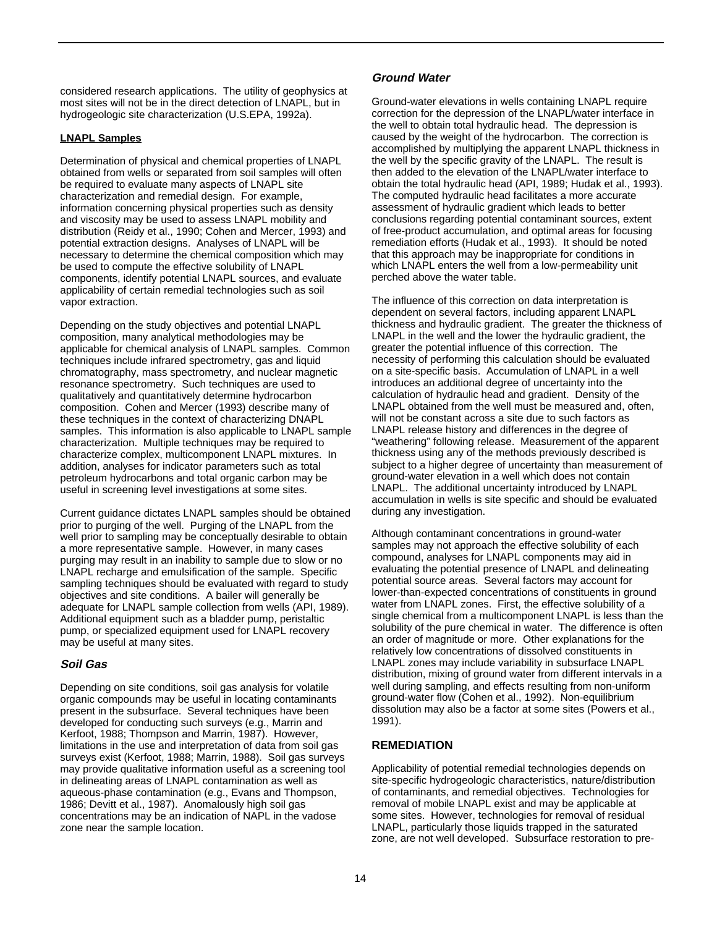considered research applications. The utility of geophysics at most sites will not be in the direct detection of LNAPL, but in hydrogeologic site characterization (U.S.EPA, 1992a).

## **LNAPL Samples**

Determination of physical and chemical properties of LNAPL obtained from wells or separated from soil samples will often be required to evaluate many aspects of LNAPL site characterization and remedial design. For example, information concerning physical properties such as density and viscosity may be used to assess LNAPL mobility and distribution (Reidy et al., 1990; Cohen and Mercer, 1993) and potential extraction designs. Analyses of LNAPL will be necessary to determine the chemical composition which may be used to compute the effective solubility of LNAPL components, identify potential LNAPL sources, and evaluate applicability of certain remedial technologies such as soil vapor extraction.

Depending on the study objectives and potential LNAPL composition, many analytical methodologies may be applicable for chemical analysis of LNAPL samples. Common techniques include infrared spectrometry, gas and liquid chromatography, mass spectrometry, and nuclear magnetic resonance spectrometry. Such techniques are used to qualitatively and quantitatively determine hydrocarbon composition. Cohen and Mercer (1993) describe many of these techniques in the context of characterizing DNAPL samples. This information is also applicable to LNAPL sample characterization. Multiple techniques may be required to characterize complex, multicomponent LNAPL mixtures. In addition, analyses for indicator parameters such as total petroleum hydrocarbons and total organic carbon may be useful in screening level investigations at some sites.

Current guidance dictates LNAPL samples should be obtained prior to purging of the well. Purging of the LNAPL from the well prior to sampling may be conceptually desirable to obtain a more representative sample. However, in many cases purging may result in an inability to sample due to slow or no LNAPL recharge and emulsification of the sample. Specific sampling techniques should be evaluated with regard to study objectives and site conditions. A bailer will generally be adequate for LNAPL sample collection from wells (API, 1989). Additional equipment such as a bladder pump, peristaltic pump, or specialized equipment used for LNAPL recovery may be useful at many sites.

## **Soil Gas**

Depending on site conditions, soil gas analysis for volatile organic compounds may be useful in locating contaminants present in the subsurface. Several techniques have been developed for conducting such surveys (e.g., Marrin and Kerfoot, 1988; Thompson and Marrin, 1987). However, limitations in the use and interpretation of data from soil gas surveys exist (Kerfoot, 1988; Marrin, 1988). Soil gas surveys may provide qualitative information useful as a screening tool in delineating areas of LNAPL contamination as well as aqueous-phase contamination (e.g., Evans and Thompson, 1986; Devitt et al., 1987). Anomalously high soil gas concentrations may be an indication of NAPL in the vadose zone near the sample location.

## **Ground Water**

Ground-water elevations in wells containing LNAPL require correction for the depression of the LNAPL/water interface in the well to obtain total hydraulic head. The depression is caused by the weight of the hydrocarbon. The correction is accomplished by multiplying the apparent LNAPL thickness in the well by the specific gravity of the LNAPL. The result is then added to the elevation of the LNAPL/water interface to obtain the total hydraulic head (API, 1989; Hudak et al., 1993). The computed hydraulic head facilitates a more accurate assessment of hydraulic gradient which leads to better conclusions regarding potential contaminant sources, extent of free-product accumulation, and optimal areas for focusing remediation efforts (Hudak et al., 1993). It should be noted that this approach may be inappropriate for conditions in which LNAPL enters the well from a low-permeability unit perched above the water table.

The influence of this correction on data interpretation is dependent on several factors, including apparent LNAPL thickness and hydraulic gradient. The greater the thickness of LNAPL in the well and the lower the hydraulic gradient, the greater the potential influence of this correction. The necessity of performing this calculation should be evaluated on a site-specific basis. Accumulation of LNAPL in a well introduces an additional degree of uncertainty into the calculation of hydraulic head and gradient. Density of the LNAPL obtained from the well must be measured and, often, will not be constant across a site due to such factors as LNAPL release history and differences in the degree of "weathering" following release. Measurement of the apparent thickness using any of the methods previously described is subject to a higher degree of uncertainty than measurement of ground-water elevation in a well which does not contain LNAPL. The additional uncertainty introduced by LNAPL accumulation in wells is site specific and should be evaluated during any investigation.

Although contaminant concentrations in ground-water samples may not approach the effective solubility of each compound, analyses for LNAPL components may aid in evaluating the potential presence of LNAPL and delineating potential source areas. Several factors may account for lower-than-expected concentrations of constituents in ground water from LNAPL zones. First, the effective solubility of a single chemical from a multicomponent LNAPL is less than the solubility of the pure chemical in water. The difference is often an order of magnitude or more. Other explanations for the relatively low concentrations of dissolved constituents in LNAPL zones may include variability in subsurface LNAPL distribution, mixing of ground water from different intervals in a well during sampling, and effects resulting from non-uniform ground-water flow (Cohen et al., 1992). Non-equilibrium dissolution may also be a factor at some sites (Powers et al., 1991).

## **REMEDIATION**

Applicability of potential remedial technologies depends on site-specific hydrogeologic characteristics, nature/distribution of contaminants, and remedial objectives. Technologies for removal of mobile LNAPL exist and may be applicable at some sites. However, technologies for removal of residual LNAPL, particularly those liquids trapped in the saturated zone, are not well developed. Subsurface restoration to pre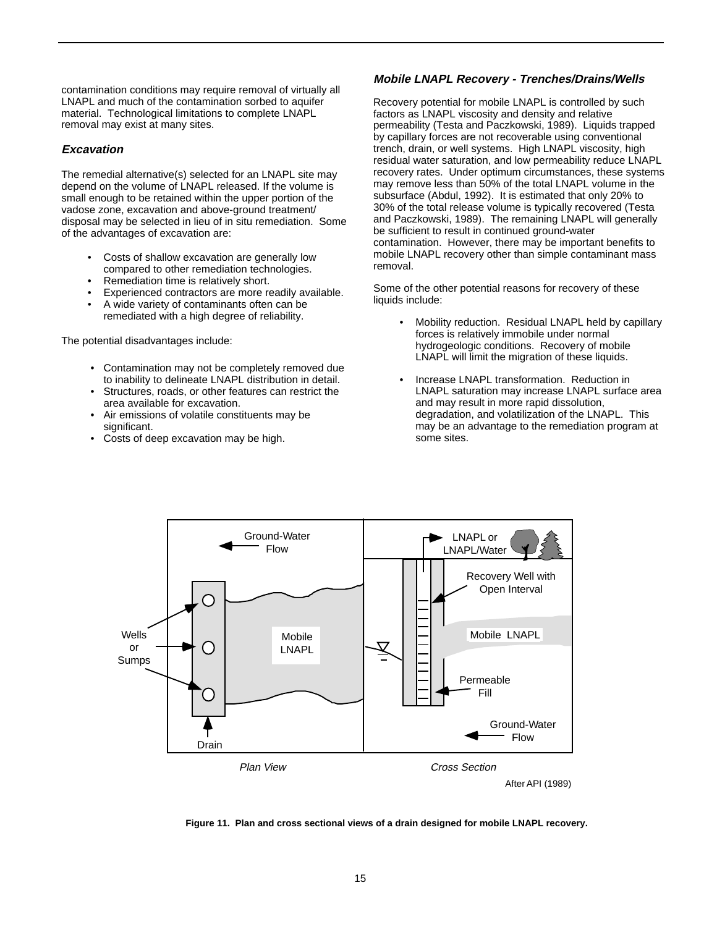contamination conditions may require removal of virtually all LNAPL and much of the contamination sorbed to aquifer material. Technological limitations to complete LNAPL removal may exist at many sites.

## **Excavation**

The remedial alternative(s) selected for an LNAPL site may depend on the volume of LNAPL released. If the volume is small enough to be retained within the upper portion of the vadose zone, excavation and above-ground treatment/ disposal may be selected in lieu of in situ remediation. Some of the advantages of excavation are:

- Costs of shallow excavation are generally low compared to other remediation technologies.
- Remediation time is relatively short.
- Experienced contractors are more readily available.
- A wide variety of contaminants often can be remediated with a high degree of reliability.

The potential disadvantages include:

- Contamination may not be completely removed due to inability to delineate LNAPL distribution in detail.
- Structures, roads, or other features can restrict the area available for excavation.
- Air emissions of volatile constituents may be significant.
- Costs of deep excavation may be high.

## **Mobile LNAPL Recovery - Trenches/Drains/Wells**

Recovery potential for mobile LNAPL is controlled by such factors as LNAPL viscosity and density and relative permeability (Testa and Paczkowski, 1989). Liquids trapped by capillary forces are not recoverable using conventional trench, drain, or well systems. High LNAPL viscosity, high residual water saturation, and low permeability reduce LNAPL recovery rates. Under optimum circumstances, these systems may remove less than 50% of the total LNAPL volume in the subsurface (Abdul, 1992). It is estimated that only 20% to 30% of the total release volume is typically recovered (Testa and Paczkowski, 1989). The remaining LNAPL will generally be sufficient to result in continued ground-water contamination. However, there may be important benefits to mobile LNAPL recovery other than simple contaminant mass removal.

Some of the other potential reasons for recovery of these liquids include:

- Mobility reduction. Residual LNAPL held by capillary forces is relatively immobile under normal hydrogeologic conditions. Recovery of mobile LNAPL will limit the migration of these liquids.
- Increase LNAPL transformation. Reduction in LNAPL saturation may increase LNAPL surface area and may result in more rapid dissolution, degradation, and volatilization of the LNAPL. This may be an advantage to the remediation program at some sites.



**Figure 11. Plan and cross sectional views of a drain designed for mobile LNAPL recovery.**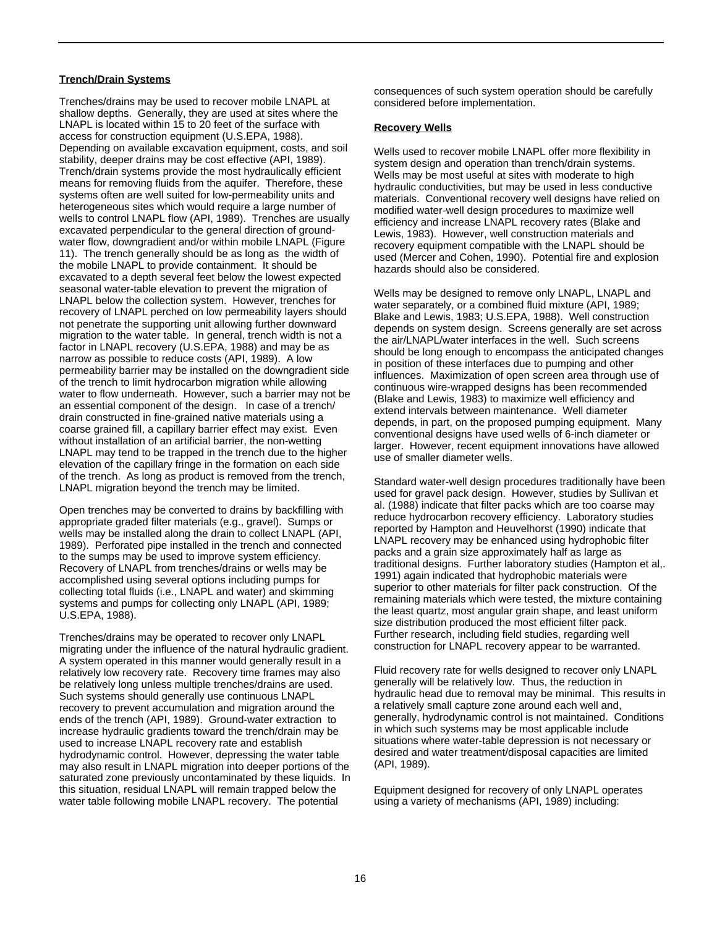#### **Trench/Drain Systems**

Trenches/drains may be used to recover mobile LNAPL at shallow depths. Generally, they are used at sites where the LNAPL is located within 15 to 20 feet of the surface with access for construction equipment (U.S.EPA, 1988). Depending on available excavation equipment, costs, and soil stability, deeper drains may be cost effective (API, 1989). Trench/drain systems provide the most hydraulically efficient means for removing fluids from the aquifer. Therefore, these systems often are well suited for low-permeability units and heterogeneous sites which would require a large number of wells to control LNAPL flow (API, 1989). Trenches are usually excavated perpendicular to the general direction of groundwater flow, downgradient and/or within mobile LNAPL (Figure 11). The trench generally should be as long as the width of the mobile LNAPL to provide containment. It should be excavated to a depth several feet below the lowest expected seasonal water-table elevation to prevent the migration of LNAPL below the collection system. However, trenches for recovery of LNAPL perched on low permeability layers should not penetrate the supporting unit allowing further downward migration to the water table. In general, trench width is not a factor in LNAPL recovery (U.S.EPA, 1988) and may be as narrow as possible to reduce costs (API, 1989). A low permeability barrier may be installed on the downgradient side of the trench to limit hydrocarbon migration while allowing water to flow underneath. However, such a barrier may not be an essential component of the design. In case of a trench/ drain constructed in fine-grained native materials using a coarse grained fill, a capillary barrier effect may exist. Even without installation of an artificial barrier, the non-wetting LNAPL may tend to be trapped in the trench due to the higher elevation of the capillary fringe in the formation on each side of the trench. As long as product is removed from the trench, LNAPL migration beyond the trench may be limited.

Open trenches may be converted to drains by backfilling with appropriate graded filter materials (e.g., gravel). Sumps or wells may be installed along the drain to collect LNAPL (API, 1989). Perforated pipe installed in the trench and connected to the sumps may be used to improve system efficiency. Recovery of LNAPL from trenches/drains or wells may be accomplished using several options including pumps for collecting total fluids (i.e., LNAPL and water) and skimming systems and pumps for collecting only LNAPL (API, 1989; U.S.EPA, 1988).

Trenches/drains may be operated to recover only LNAPL migrating under the influence of the natural hydraulic gradient. A system operated in this manner would generally result in a relatively low recovery rate. Recovery time frames may also be relatively long unless multiple trenches/drains are used. Such systems should generally use continuous LNAPL recovery to prevent accumulation and migration around the ends of the trench (API, 1989). Ground-water extraction to increase hydraulic gradients toward the trench/drain may be used to increase LNAPL recovery rate and establish hydrodynamic control. However, depressing the water table may also result in LNAPL migration into deeper portions of the saturated zone previously uncontaminated by these liquids. In this situation, residual LNAPL will remain trapped below the water table following mobile LNAPL recovery. The potential

consequences of such system operation should be carefully considered before implementation.

#### **Recovery Wells**

Wells used to recover mobile LNAPL offer more flexibility in system design and operation than trench/drain systems. Wells may be most useful at sites with moderate to high hydraulic conductivities, but may be used in less conductive materials. Conventional recovery well designs have relied on modified water-well design procedures to maximize well efficiency and increase LNAPL recovery rates (Blake and Lewis, 1983). However, well construction materials and recovery equipment compatible with the LNAPL should be used (Mercer and Cohen, 1990). Potential fire and explosion hazards should also be considered.

Wells may be designed to remove only LNAPL, LNAPL and water separately, or a combined fluid mixture (API, 1989; Blake and Lewis, 1983; U.S.EPA, 1988). Well construction depends on system design. Screens generally are set across the air/LNAPL/water interfaces in the well. Such screens should be long enough to encompass the anticipated changes in position of these interfaces due to pumping and other influences. Maximization of open screen area through use of continuous wire-wrapped designs has been recommended (Blake and Lewis, 1983) to maximize well efficiency and extend intervals between maintenance. Well diameter depends, in part, on the proposed pumping equipment. Many conventional designs have used wells of 6-inch diameter or larger. However, recent equipment innovations have allowed use of smaller diameter wells.

Standard water-well design procedures traditionally have been used for gravel pack design. However, studies by Sullivan et al. (1988) indicate that filter packs which are too coarse may reduce hydrocarbon recovery efficiency. Laboratory studies reported by Hampton and Heuvelhorst (1990) indicate that LNAPL recovery may be enhanced using hydrophobic filter packs and a grain size approximately half as large as traditional designs. Further laboratory studies (Hampton et al,. 1991) again indicated that hydrophobic materials were superior to other materials for filter pack construction. Of the remaining materials which were tested, the mixture containing the least quartz, most angular grain shape, and least uniform size distribution produced the most efficient filter pack. Further research, including field studies, regarding well construction for LNAPL recovery appear to be warranted.

Fluid recovery rate for wells designed to recover only LNAPL generally will be relatively low. Thus, the reduction in hydraulic head due to removal may be minimal. This results in a relatively small capture zone around each well and, generally, hydrodynamic control is not maintained. Conditions in which such systems may be most applicable include situations where water-table depression is not necessary or desired and water treatment/disposal capacities are limited (API, 1989).

Equipment designed for recovery of only LNAPL operates using a variety of mechanisms (API, 1989) including: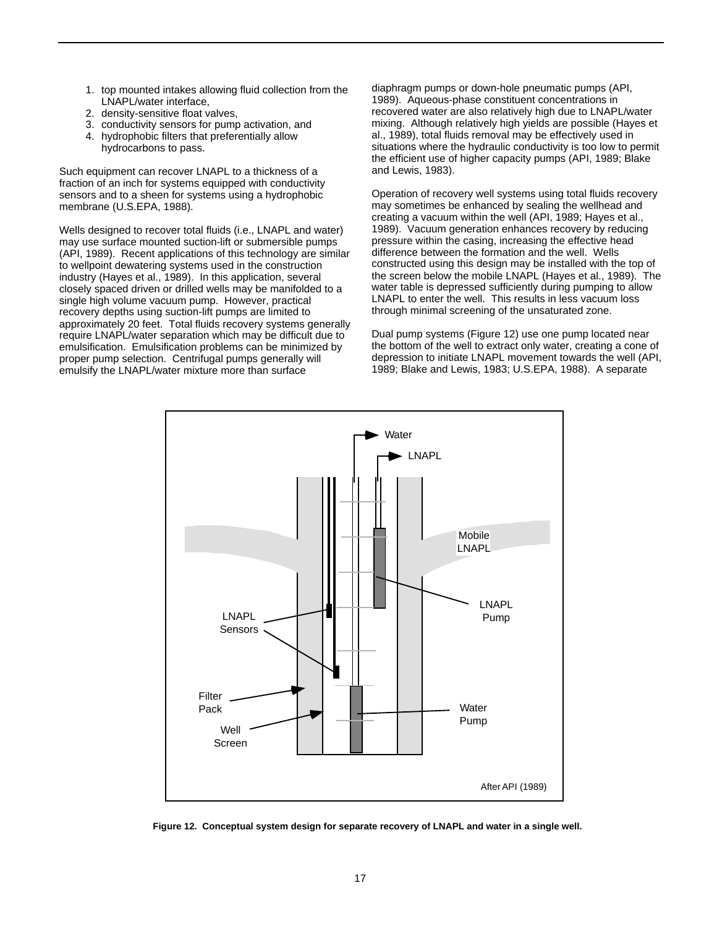- 1. top mounted intakes allowing fluid collection from the LNAPL/water interface,
- 2. density-sensitive float valves,
- 3. conductivity sensors for pump activation, and
- 4. hydrophobic filters that preferentially allow hydrocarbons to pass.

Such equipment can recover LNAPL to a thickness of a fraction of an inch for systems equipped with conductivity sensors and to a sheen for systems using a hydrophobic membrane (U.S.EPA, 1988).

Wells designed to recover total fluids (i.e., LNAPL and water) may use surface mounted suction-lift or submersible pumps (API, 1989). Recent applications of this technology are similar to wellpoint dewatering systems used in the construction industry (Hayes et al., 1989). In this application, several closely spaced driven or drilled wells may be manifolded to a single high volume vacuum pump. However, practical recovery depths using suction-lift pumps are limited to approximately 20 feet. Total fluids recovery systems generally require LNAPL/water separation which may be difficult due to emulsification. Emulsification problems can be minimized by proper pump selection. Centrifugal pumps generally will emulsify the LNAPL/water mixture more than surface

diaphragm pumps or down-hole pneumatic pumps (API, 1989). Aqueous-phase constituent concentrations in recovered water are also relatively high due to LNAPL/water mixing. Although relatively high yields are possible (Hayes et al., 1989), total fluids removal may be effectively used in situations where the hydraulic conductivity is too low to permit the efficient use of higher capacity pumps (API, 1989; Blake and Lewis, 1983).

Operation of recovery well systems using total fluids recovery may sometimes be enhanced by sealing the wellhead and creating a vacuum within the well (API, 1989; Hayes et al., 1989). Vacuum generation enhances recovery by reducing pressure within the casing, increasing the effective head difference between the formation and the well. Wells constructed using this design may be installed with the top of the screen below the mobile LNAPL (Hayes et al., 1989). The water table is depressed sufficiently during pumping to allow LNAPL to enter the well. This results in less vacuum loss through minimal screening of the unsaturated zone.

Dual pump systems (Figure 12) use one pump located near the bottom of the well to extract only water, creating a cone of depression to initiate LNAPL movement towards the well (API, 1989; Blake and Lewis, 1983; U.S.EPA, 1988). A separate



**Figure 12. Conceptual system design for separate recovery of LNAPL and water in a single well.**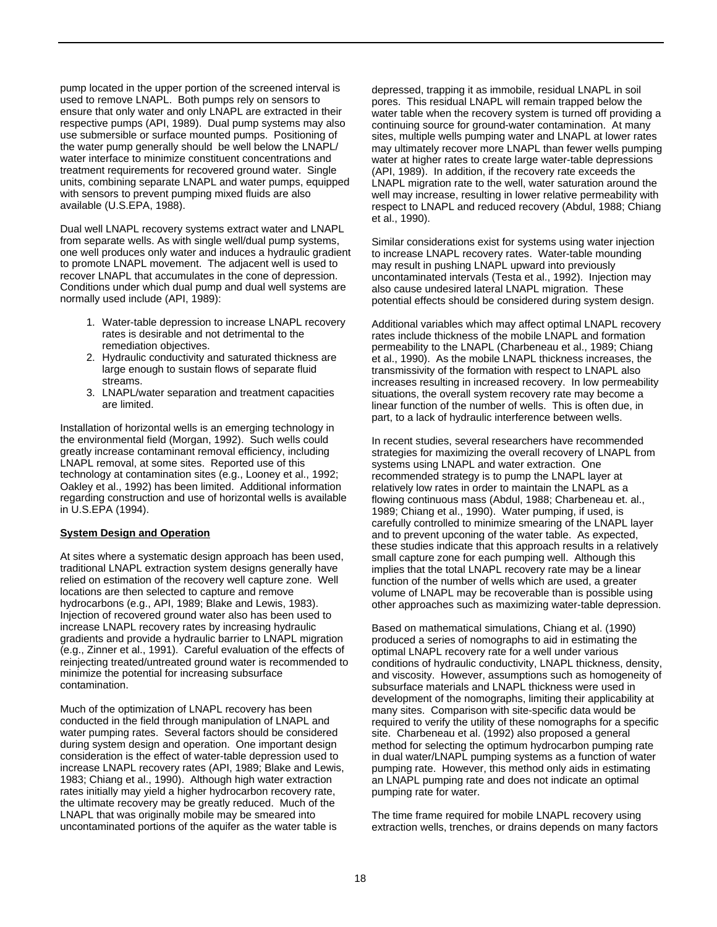pump located in the upper portion of the screened interval is used to remove LNAPL. Both pumps rely on sensors to ensure that only water and only LNAPL are extracted in their respective pumps (API, 1989). Dual pump systems may also use submersible or surface mounted pumps. Positioning of the water pump generally should be well below the LNAPL/ water interface to minimize constituent concentrations and treatment requirements for recovered ground water. Single units, combining separate LNAPL and water pumps, equipped with sensors to prevent pumping mixed fluids are also available (U.S.EPA, 1988).

Dual well LNAPL recovery systems extract water and LNAPL from separate wells. As with single well/dual pump systems, one well produces only water and induces a hydraulic gradient to promote LNAPL movement. The adjacent well is used to recover LNAPL that accumulates in the cone of depression. Conditions under which dual pump and dual well systems are normally used include (API, 1989):

- 1. Water-table depression to increase LNAPL recovery rates is desirable and not detrimental to the remediation objectives.
- 2. Hydraulic conductivity and saturated thickness are large enough to sustain flows of separate fluid streams.
- 3. LNAPL/water separation and treatment capacities are limited.

Installation of horizontal wells is an emerging technology in the environmental field (Morgan, 1992). Such wells could greatly increase contaminant removal efficiency, including LNAPL removal, at some sites. Reported use of this technology at contamination sites (e.g., Looney et al., 1992; Oakley et al., 1992) has been limited. Additional information regarding construction and use of horizontal wells is available in U.S.EPA (1994).

#### **System Design and Operation**

At sites where a systematic design approach has been used, traditional LNAPL extraction system designs generally have relied on estimation of the recovery well capture zone. Well locations are then selected to capture and remove hydrocarbons (e.g., API, 1989; Blake and Lewis, 1983). Injection of recovered ground water also has been used to increase LNAPL recovery rates by increasing hydraulic gradients and provide a hydraulic barrier to LNAPL migration (e.g., Zinner et al., 1991). Careful evaluation of the effects of reinjecting treated/untreated ground water is recommended to minimize the potential for increasing subsurface contamination.

Much of the optimization of LNAPL recovery has been conducted in the field through manipulation of LNAPL and water pumping rates. Several factors should be considered during system design and operation. One important design consideration is the effect of water-table depression used to increase LNAPL recovery rates (API, 1989; Blake and Lewis, 1983; Chiang et al., 1990). Although high water extraction rates initially may yield a higher hydrocarbon recovery rate, the ultimate recovery may be greatly reduced. Much of the LNAPL that was originally mobile may be smeared into uncontaminated portions of the aquifer as the water table is

depressed, trapping it as immobile, residual LNAPL in soil pores. This residual LNAPL will remain trapped below the water table when the recovery system is turned off providing a continuing source for ground-water contamination. At many sites, multiple wells pumping water and LNAPL at lower rates may ultimately recover more LNAPL than fewer wells pumping water at higher rates to create large water-table depressions (API, 1989). In addition, if the recovery rate exceeds the LNAPL migration rate to the well, water saturation around the well may increase, resulting in lower relative permeability with respect to LNAPL and reduced recovery (Abdul, 1988; Chiang et al., 1990).

Similar considerations exist for systems using water injection to increase LNAPL recovery rates. Water-table mounding may result in pushing LNAPL upward into previously uncontaminated intervals (Testa et al., 1992). Injection may also cause undesired lateral LNAPL migration. These potential effects should be considered during system design.

Additional variables which may affect optimal LNAPL recovery rates include thickness of the mobile LNAPL and formation permeability to the LNAPL (Charbeneau et al., 1989; Chiang et al., 1990). As the mobile LNAPL thickness increases, the transmissivity of the formation with respect to LNAPL also increases resulting in increased recovery. In low permeability situations, the overall system recovery rate may become a linear function of the number of wells. This is often due, in part, to a lack of hydraulic interference between wells.

In recent studies, several researchers have recommended strategies for maximizing the overall recovery of LNAPL from systems using LNAPL and water extraction. One recommended strategy is to pump the LNAPL layer at relatively low rates in order to maintain the LNAPL as a flowing continuous mass (Abdul, 1988; Charbeneau et. al., 1989; Chiang et al., 1990). Water pumping, if used, is carefully controlled to minimize smearing of the LNAPL layer and to prevent upconing of the water table. As expected, these studies indicate that this approach results in a relatively small capture zone for each pumping well. Although this implies that the total LNAPL recovery rate may be a linear function of the number of wells which are used, a greater volume of LNAPL may be recoverable than is possible using other approaches such as maximizing water-table depression.

Based on mathematical simulations, Chiang et al. (1990) produced a series of nomographs to aid in estimating the optimal LNAPL recovery rate for a well under various conditions of hydraulic conductivity, LNAPL thickness, density, and viscosity. However, assumptions such as homogeneity of subsurface materials and LNAPL thickness were used in development of the nomographs, limiting their applicability at many sites. Comparison with site-specific data would be required to verify the utility of these nomographs for a specific site. Charbeneau et al. (1992) also proposed a general method for selecting the optimum hydrocarbon pumping rate in dual water/LNAPL pumping systems as a function of water pumping rate. However, this method only aids in estimating an LNAPL pumping rate and does not indicate an optimal pumping rate for water.

The time frame required for mobile LNAPL recovery using extraction wells, trenches, or drains depends on many factors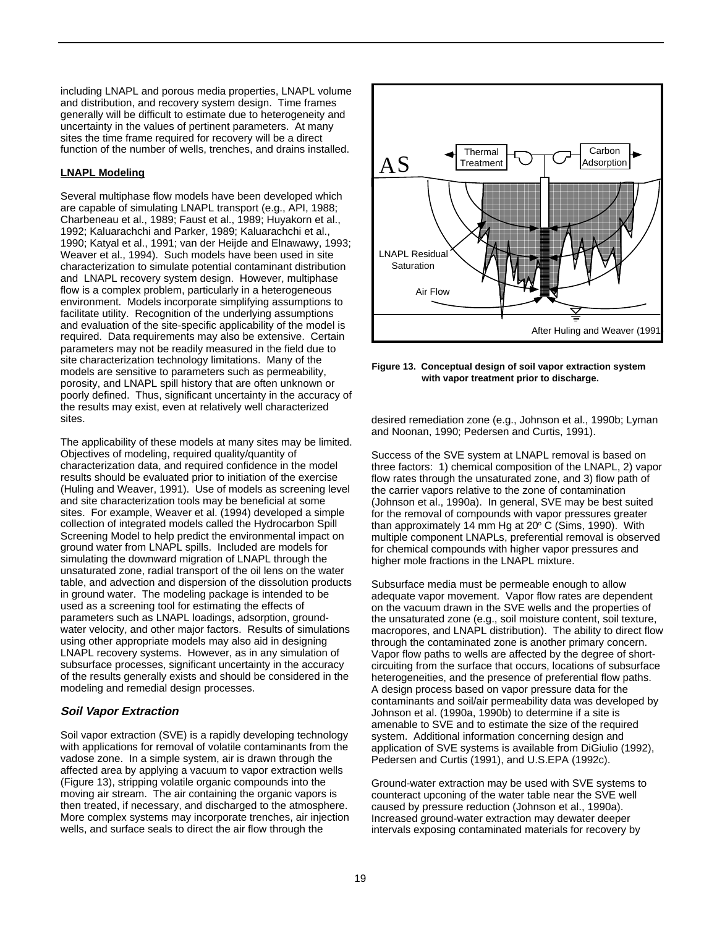including LNAPL and porous media properties, LNAPL volume and distribution, and recovery system design. Time frames generally will be difficult to estimate due to heterogeneity and uncertainty in the values of pertinent parameters. At many sites the time frame required for recovery will be a direct function of the number of wells, trenches, and drains installed.

## **LNAPL Modeling**

Several multiphase flow models have been developed which are capable of simulating LNAPL transport (e.g., API, 1988; Charbeneau et al., 1989; Faust et al., 1989; Huyakorn et al., 1992; Kaluarachchi and Parker, 1989; Kaluarachchi et al., 1990; Katyal et al., 1991; van der Heijde and Elnawawy, 1993; Weaver et al., 1994). Such models have been used in site characterization to simulate potential contaminant distribution and LNAPL recovery system design. However, multiphase flow is a complex problem, particularly in a heterogeneous environment. Models incorporate simplifying assumptions to facilitate utility. Recognition of the underlying assumptions and evaluation of the site-specific applicability of the model is required. Data requirements may also be extensive. Certain parameters may not be readily measured in the field due to site characterization technology limitations. Many of the models are sensitive to parameters such as permeability, porosity, and LNAPL spill history that are often unknown or poorly defined. Thus, significant uncertainty in the accuracy of the results may exist, even at relatively well characterized sites.

The applicability of these models at many sites may be limited. Objectives of modeling, required quality/quantity of characterization data, and required confidence in the model results should be evaluated prior to initiation of the exercise (Huling and Weaver, 1991). Use of models as screening level and site characterization tools may be beneficial at some sites. For example, Weaver et al. (1994) developed a simple collection of integrated models called the Hydrocarbon Spill Screening Model to help predict the environmental impact on ground water from LNAPL spills. Included are models for simulating the downward migration of LNAPL through the unsaturated zone, radial transport of the oil lens on the water table, and advection and dispersion of the dissolution products in ground water. The modeling package is intended to be used as a screening tool for estimating the effects of parameters such as LNAPL loadings, adsorption, groundwater velocity, and other major factors. Results of simulations using other appropriate models may also aid in designing LNAPL recovery systems. However, as in any simulation of subsurface processes, significant uncertainty in the accuracy of the results generally exists and should be considered in the modeling and remedial design processes.

## **Soil Vapor Extraction**

Soil vapor extraction (SVE) is a rapidly developing technology with applications for removal of volatile contaminants from the vadose zone. In a simple system, air is drawn through the affected area by applying a vacuum to vapor extraction wells (Figure 13), stripping volatile organic compounds into the moving air stream. The air containing the organic vapors is then treated, if necessary, and discharged to the atmosphere. More complex systems may incorporate trenches, air injection wells, and surface seals to direct the air flow through the



**Figure 13. Conceptual design of soil vapor extraction system with vapor treatment prior to discharge.**

desired remediation zone (e.g., Johnson et al., 1990b; Lyman and Noonan, 1990; Pedersen and Curtis, 1991).

Success of the SVE system at LNAPL removal is based on three factors: 1) chemical composition of the LNAPL, 2) vapor flow rates through the unsaturated zone, and 3) flow path of the carrier vapors relative to the zone of contamination (Johnson et al., 1990a). In general, SVE may be best suited for the removal of compounds with vapor pressures greater than approximately 14 mm Hg at 20° C (Sims, 1990). With multiple component LNAPLs, preferential removal is observed for chemical compounds with higher vapor pressures and higher mole fractions in the LNAPL mixture.

Subsurface media must be permeable enough to allow adequate vapor movement. Vapor flow rates are dependent on the vacuum drawn in the SVE wells and the properties of the unsaturated zone (e.g., soil moisture content, soil texture, macropores, and LNAPL distribution). The ability to direct flow through the contaminated zone is another primary concern. Vapor flow paths to wells are affected by the degree of shortcircuiting from the surface that occurs, locations of subsurface heterogeneities, and the presence of preferential flow paths. A design process based on vapor pressure data for the contaminants and soil/air permeability data was developed by Johnson et al. (1990a, 1990b) to determine if a site is amenable to SVE and to estimate the size of the required system. Additional information concerning design and application of SVE systems is available from DiGiulio (1992), Pedersen and Curtis (1991), and U.S.EPA (1992c).

Ground-water extraction may be used with SVE systems to counteract upconing of the water table near the SVE well caused by pressure reduction (Johnson et al., 1990a). Increased ground-water extraction may dewater deeper intervals exposing contaminated materials for recovery by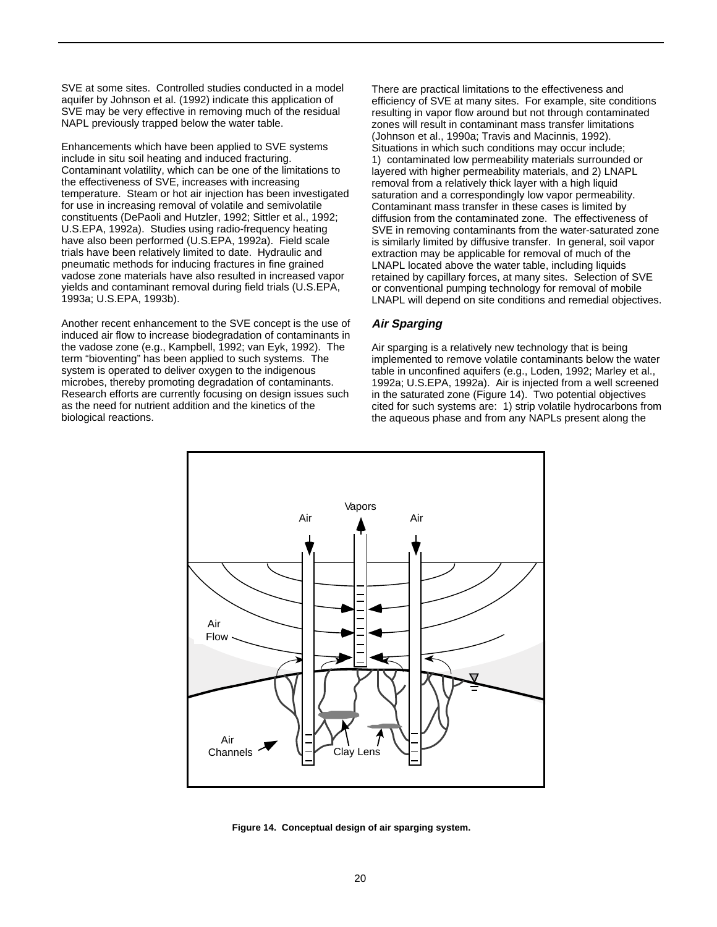SVE at some sites. Controlled studies conducted in a model aquifer by Johnson et al. (1992) indicate this application of SVE may be very effective in removing much of the residual NAPL previously trapped below the water table.

Enhancements which have been applied to SVE systems include in situ soil heating and induced fracturing. Contaminant volatility, which can be one of the limitations to the effectiveness of SVE, increases with increasing temperature. Steam or hot air injection has been investigated for use in increasing removal of volatile and semivolatile constituents (DePaoli and Hutzler, 1992; Sittler et al., 1992; U.S.EPA, 1992a). Studies using radio-frequency heating have also been performed (U.S.EPA, 1992a). Field scale trials have been relatively limited to date. Hydraulic and pneumatic methods for inducing fractures in fine grained vadose zone materials have also resulted in increased vapor yields and contaminant removal during field trials (U.S.EPA, 1993a; U.S.EPA, 1993b).

Another recent enhancement to the SVE concept is the use of induced air flow to increase biodegradation of contaminants in the vadose zone (e.g., Kampbell, 1992; van Eyk, 1992). The term "bioventing" has been applied to such systems. The system is operated to deliver oxygen to the indigenous microbes, thereby promoting degradation of contaminants. Research efforts are currently focusing on design issues such as the need for nutrient addition and the kinetics of the biological reactions.

There are practical limitations to the effectiveness and efficiency of SVE at many sites. For example, site conditions resulting in vapor flow around but not through contaminated zones will result in contaminant mass transfer limitations (Johnson et al., 1990a; Travis and Macinnis, 1992). Situations in which such conditions may occur include; 1) contaminated low permeability materials surrounded or layered with higher permeability materials, and 2) LNAPL removal from a relatively thick layer with a high liquid saturation and a correspondingly low vapor permeability. Contaminant mass transfer in these cases is limited by diffusion from the contaminated zone. The effectiveness of SVE in removing contaminants from the water-saturated zone is similarly limited by diffusive transfer. In general, soil vapor extraction may be applicable for removal of much of the LNAPL located above the water table, including liquids retained by capillary forces, at many sites. Selection of SVE or conventional pumping technology for removal of mobile LNAPL will depend on site conditions and remedial objectives.

## **Air Sparging**

Air sparging is a relatively new technology that is being implemented to remove volatile contaminants below the water table in unconfined aquifers (e.g., Loden, 1992; Marley et al., 1992a; U.S.EPA, 1992a). Air is injected from a well screened in the saturated zone (Figure 14). Two potential objectives cited for such systems are: 1) strip volatile hydrocarbons from the aqueous phase and from any NAPLs present along the



**Figure 14. Conceptual design of air sparging system.**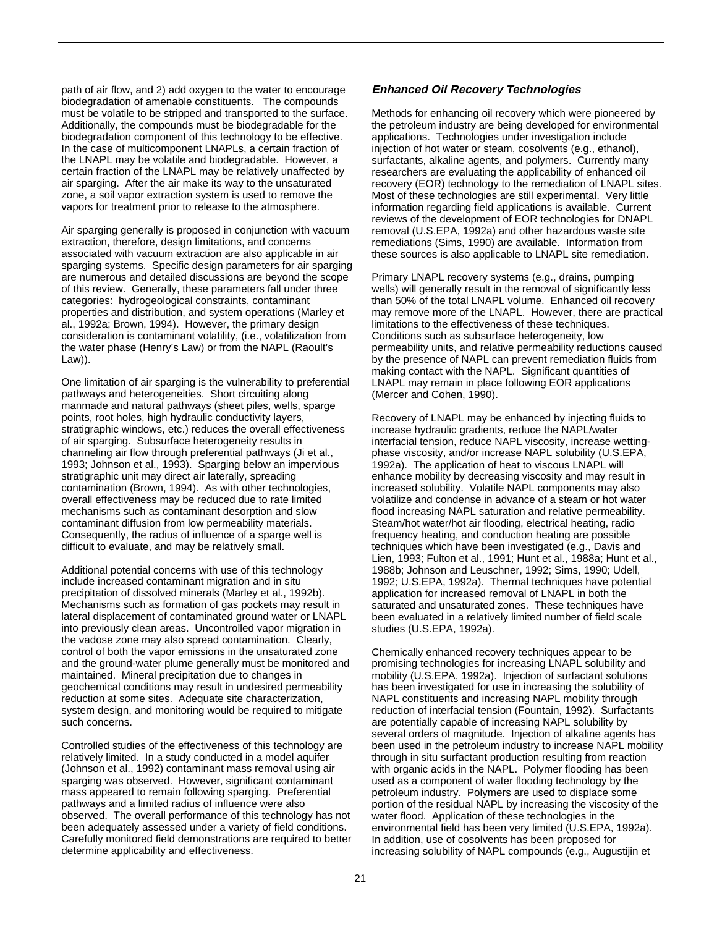path of air flow, and 2) add oxygen to the water to encourage biodegradation of amenable constituents. The compounds must be volatile to be stripped and transported to the surface. Additionally, the compounds must be biodegradable for the biodegradation component of this technology to be effective. In the case of multicomponent LNAPLs, a certain fraction of the LNAPL may be volatile and biodegradable. However, a certain fraction of the LNAPL may be relatively unaffected by air sparging. After the air make its way to the unsaturated zone, a soil vapor extraction system is used to remove the vapors for treatment prior to release to the atmosphere.

Air sparging generally is proposed in conjunction with vacuum extraction, therefore, design limitations, and concerns associated with vacuum extraction are also applicable in air sparging systems. Specific design parameters for air sparging are numerous and detailed discussions are beyond the scope of this review. Generally, these parameters fall under three categories: hydrogeological constraints, contaminant properties and distribution, and system operations (Marley et al., 1992a; Brown, 1994). However, the primary design consideration is contaminant volatility, (i.e., volatilization from the water phase (Henry's Law) or from the NAPL (Raoult's Law)).

One limitation of air sparging is the vulnerability to preferential pathways and heterogeneities. Short circuiting along manmade and natural pathways (sheet piles, wells, sparge points, root holes, high hydraulic conductivity layers, stratigraphic windows, etc.) reduces the overall effectiveness of air sparging. Subsurface heterogeneity results in channeling air flow through preferential pathways (Ji et al., 1993; Johnson et al., 1993). Sparging below an impervious stratigraphic unit may direct air laterally, spreading contamination (Brown, 1994). As with other technologies, overall effectiveness may be reduced due to rate limited mechanisms such as contaminant desorption and slow contaminant diffusion from low permeability materials. Consequently, the radius of influence of a sparge well is difficult to evaluate, and may be relatively small.

Additional potential concerns with use of this technology include increased contaminant migration and in situ precipitation of dissolved minerals (Marley et al., 1992b). Mechanisms such as formation of gas pockets may result in lateral displacement of contaminated ground water or LNAPL into previously clean areas. Uncontrolled vapor migration in the vadose zone may also spread contamination. Clearly, control of both the vapor emissions in the unsaturated zone and the ground-water plume generally must be monitored and maintained. Mineral precipitation due to changes in geochemical conditions may result in undesired permeability reduction at some sites. Adequate site characterization, system design, and monitoring would be required to mitigate such concerns.

Controlled studies of the effectiveness of this technology are relatively limited. In a study conducted in a model aquifer (Johnson et al., 1992) contaminant mass removal using air sparging was observed. However, significant contaminant mass appeared to remain following sparging. Preferential pathways and a limited radius of influence were also observed. The overall performance of this technology has not been adequately assessed under a variety of field conditions. Carefully monitored field demonstrations are required to better determine applicability and effectiveness.

## **Enhanced Oil Recovery Technologies**

Methods for enhancing oil recovery which were pioneered by the petroleum industry are being developed for environmental applications. Technologies under investigation include injection of hot water or steam, cosolvents (e.g., ethanol), surfactants, alkaline agents, and polymers. Currently many researchers are evaluating the applicability of enhanced oil recovery (EOR) technology to the remediation of LNAPL sites. Most of these technologies are still experimental. Very little information regarding field applications is available. Current reviews of the development of EOR technologies for DNAPL removal (U.S.EPA, 1992a) and other hazardous waste site remediations (Sims, 1990) are available. Information from these sources is also applicable to LNAPL site remediation.

Primary LNAPL recovery systems (e.g., drains, pumping wells) will generally result in the removal of significantly less than 50% of the total LNAPL volume. Enhanced oil recovery may remove more of the LNAPL. However, there are practical limitations to the effectiveness of these techniques. Conditions such as subsurface heterogeneity, low permeability units, and relative permeability reductions caused by the presence of NAPL can prevent remediation fluids from making contact with the NAPL. Significant quantities of LNAPL may remain in place following EOR applications (Mercer and Cohen, 1990).

Recovery of LNAPL may be enhanced by injecting fluids to increase hydraulic gradients, reduce the NAPL/water interfacial tension, reduce NAPL viscosity, increase wettingphase viscosity, and/or increase NAPL solubility (U.S.EPA, 1992a). The application of heat to viscous LNAPL will enhance mobility by decreasing viscosity and may result in increased solubility. Volatile NAPL components may also volatilize and condense in advance of a steam or hot water flood increasing NAPL saturation and relative permeability. Steam/hot water/hot air flooding, electrical heating, radio frequency heating, and conduction heating are possible techniques which have been investigated (e.g., Davis and Lien, 1993; Fulton et al., 1991; Hunt et al., 1988a; Hunt et al., 1988b; Johnson and Leuschner, 1992; Sims, 1990; Udell, 1992; U.S.EPA, 1992a). Thermal techniques have potential application for increased removal of LNAPL in both the saturated and unsaturated zones. These techniques have been evaluated in a relatively limited number of field scale studies (U.S.EPA, 1992a).

Chemically enhanced recovery techniques appear to be promising technologies for increasing LNAPL solubility and mobility (U.S.EPA, 1992a). Injection of surfactant solutions has been investigated for use in increasing the solubility of NAPL constituents and increasing NAPL mobility through reduction of interfacial tension (Fountain, 1992). Surfactants are potentially capable of increasing NAPL solubility by several orders of magnitude. Injection of alkaline agents has been used in the petroleum industry to increase NAPL mobility through in situ surfactant production resulting from reaction with organic acids in the NAPL. Polymer flooding has been used as a component of water flooding technology by the petroleum industry. Polymers are used to displace some portion of the residual NAPL by increasing the viscosity of the water flood. Application of these technologies in the environmental field has been very limited (U.S.EPA, 1992a). In addition, use of cosolvents has been proposed for increasing solubility of NAPL compounds (e.g., Augustijin et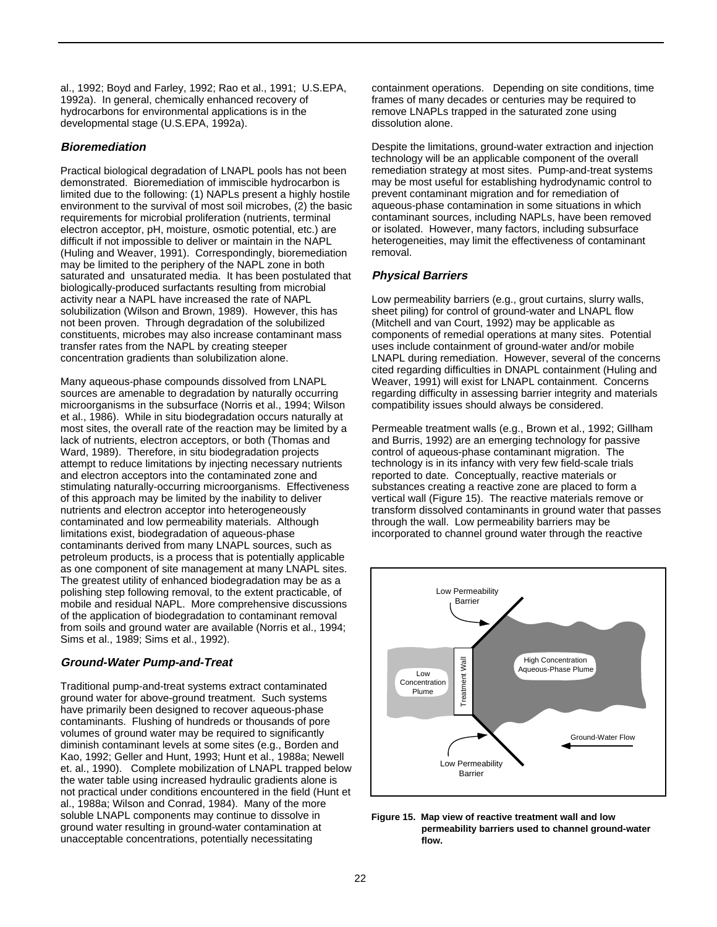al., 1992; Boyd and Farley, 1992; Rao et al., 1991; U.S.EPA, 1992a). In general, chemically enhanced recovery of hydrocarbons for environmental applications is in the developmental stage (U.S.EPA, 1992a).

#### **Bioremediation**

Practical biological degradation of LNAPL pools has not been demonstrated. Bioremediation of immiscible hydrocarbon is limited due to the following: (1) NAPLs present a highly hostile environment to the survival of most soil microbes, (2) the basic requirements for microbial proliferation (nutrients, terminal electron acceptor, pH, moisture, osmotic potential, etc.) are difficult if not impossible to deliver or maintain in the NAPL (Huling and Weaver, 1991). Correspondingly, bioremediation may be limited to the periphery of the NAPL zone in both saturated and unsaturated media. It has been postulated that biologically-produced surfactants resulting from microbial activity near a NAPL have increased the rate of NAPL solubilization (Wilson and Brown, 1989). However, this has not been proven. Through degradation of the solubilized constituents, microbes may also increase contaminant mass transfer rates from the NAPL by creating steeper concentration gradients than solubilization alone.

Many aqueous-phase compounds dissolved from LNAPL sources are amenable to degradation by naturally occurring microorganisms in the subsurface (Norris et al., 1994; Wilson et al., 1986). While in situ biodegradation occurs naturally at most sites, the overall rate of the reaction may be limited by a lack of nutrients, electron acceptors, or both (Thomas and Ward, 1989). Therefore, in situ biodegradation projects attempt to reduce limitations by injecting necessary nutrients and electron acceptors into the contaminated zone and stimulating naturally-occurring microorganisms. Effectiveness of this approach may be limited by the inability to deliver nutrients and electron acceptor into heterogeneously contaminated and low permeability materials. Although limitations exist, biodegradation of aqueous-phase contaminants derived from many LNAPL sources, such as petroleum products, is a process that is potentially applicable as one component of site management at many LNAPL sites. The greatest utility of enhanced biodegradation may be as a polishing step following removal, to the extent practicable, of mobile and residual NAPL. More comprehensive discussions of the application of biodegradation to contaminant removal from soils and ground water are available (Norris et al., 1994; Sims et al., 1989; Sims et al., 1992).

#### **Ground-Water Pump-and-Treat**

Traditional pump-and-treat systems extract contaminated ground water for above-ground treatment. Such systems have primarily been designed to recover aqueous-phase contaminants. Flushing of hundreds or thousands of pore volumes of ground water may be required to significantly diminish contaminant levels at some sites (e.g., Borden and Kao, 1992; Geller and Hunt, 1993; Hunt et al., 1988a; Newell et. al., 1990). Complete mobilization of LNAPL trapped below the water table using increased hydraulic gradients alone is not practical under conditions encountered in the field (Hunt et al., 1988a; Wilson and Conrad, 1984). Many of the more soluble LNAPL components may continue to dissolve in ground water resulting in ground-water contamination at unacceptable concentrations, potentially necessitating

containment operations. Depending on site conditions, time frames of many decades or centuries may be required to remove LNAPLs trapped in the saturated zone using dissolution alone.

Despite the limitations, ground-water extraction and injection technology will be an applicable component of the overall remediation strategy at most sites. Pump-and-treat systems may be most useful for establishing hydrodynamic control to prevent contaminant migration and for remediation of aqueous-phase contamination in some situations in which contaminant sources, including NAPLs, have been removed or isolated. However, many factors, including subsurface heterogeneities, may limit the effectiveness of contaminant removal.

#### **Physical Barriers**

Low permeability barriers (e.g., grout curtains, slurry walls, sheet piling) for control of ground-water and LNAPL flow (Mitchell and van Court, 1992) may be applicable as components of remedial operations at many sites. Potential uses include containment of ground-water and/or mobile LNAPL during remediation. However, several of the concerns cited regarding difficulties in DNAPL containment (Huling and Weaver, 1991) will exist for LNAPL containment. Concerns regarding difficulty in assessing barrier integrity and materials compatibility issues should always be considered.

Permeable treatment walls (e.g., Brown et al., 1992; Gillham and Burris, 1992) are an emerging technology for passive control of aqueous-phase contaminant migration. The technology is in its infancy with very few field-scale trials reported to date. Conceptually, reactive materials or substances creating a reactive zone are placed to form a vertical wall (Figure 15). The reactive materials remove or transform dissolved contaminants in ground water that passes through the wall. Low permeability barriers may be incorporated to channel ground water through the reactive



**Figure 15. Map view of reactive treatment wall and low permeability barriers used to channel ground-water flow.**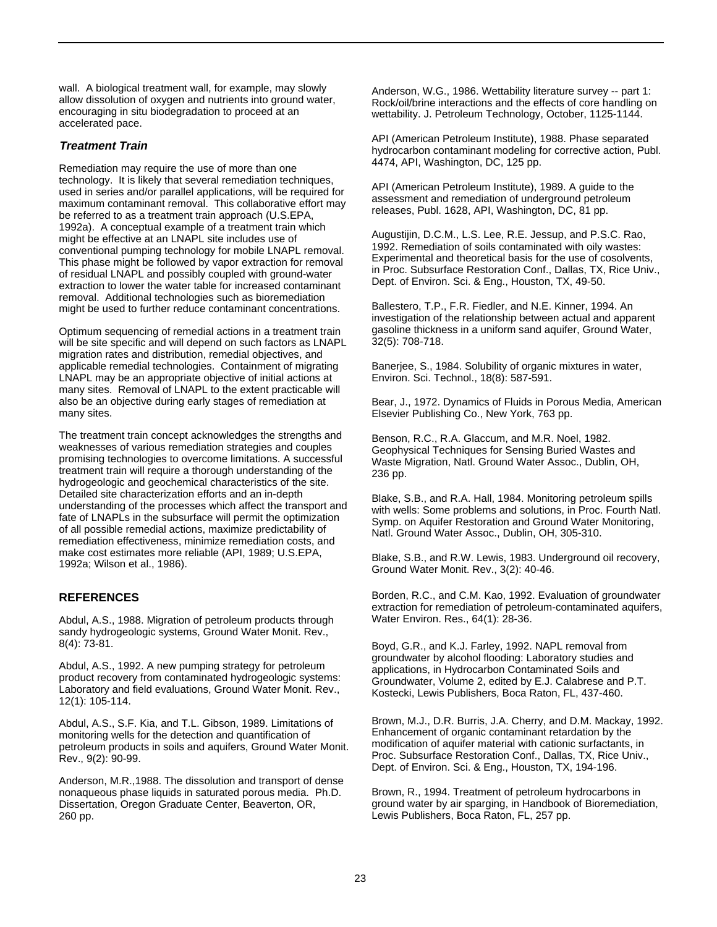wall. A biological treatment wall, for example, may slowly allow dissolution of oxygen and nutrients into ground water, encouraging in situ biodegradation to proceed at an accelerated pace.

## **Treatment Train**

Remediation may require the use of more than one technology. It is likely that several remediation techniques, used in series and/or parallel applications, will be required for maximum contaminant removal. This collaborative effort may be referred to as a treatment train approach (U.S.EPA, 1992a). A conceptual example of a treatment train which might be effective at an LNAPL site includes use of conventional pumping technology for mobile LNAPL removal. This phase might be followed by vapor extraction for removal of residual LNAPL and possibly coupled with ground-water extraction to lower the water table for increased contaminant removal. Additional technologies such as bioremediation might be used to further reduce contaminant concentrations.

Optimum sequencing of remedial actions in a treatment train will be site specific and will depend on such factors as LNAPL migration rates and distribution, remedial objectives, and applicable remedial technologies. Containment of migrating LNAPL may be an appropriate objective of initial actions at many sites. Removal of LNAPL to the extent practicable will also be an objective during early stages of remediation at many sites.

The treatment train concept acknowledges the strengths and weaknesses of various remediation strategies and couples promising technologies to overcome limitations. A successful treatment train will require a thorough understanding of the hydrogeologic and geochemical characteristics of the site. Detailed site characterization efforts and an in-depth understanding of the processes which affect the transport and fate of LNAPLs in the subsurface will permit the optimization of all possible remedial actions, maximize predictability of remediation effectiveness, minimize remediation costs, and make cost estimates more reliable (API, 1989; U.S.EPA, 1992a; Wilson et al., 1986).

## **REFERENCES**

Abdul, A.S., 1988. Migration of petroleum products through sandy hydrogeologic systems, Ground Water Monit. Rev., 8(4): 73-81.

Abdul, A.S., 1992. A new pumping strategy for petroleum product recovery from contaminated hydrogeologic systems: Laboratory and field evaluations, Ground Water Monit. Rev., 12(1): 105-114.

Abdul, A.S., S.F. Kia, and T.L. Gibson, 1989. Limitations of monitoring wells for the detection and quantification of petroleum products in soils and aquifers, Ground Water Monit. Rev., 9(2): 90-99.

Anderson, M.R.,1988. The dissolution and transport of dense nonaqueous phase liquids in saturated porous media. Ph.D. Dissertation, Oregon Graduate Center, Beaverton, OR, 260 pp.

Anderson, W.G., 1986. Wettability literature survey -- part 1: Rock/oil/brine interactions and the effects of core handling on wettability. J. Petroleum Technology, October, 1125-1144.

API (American Petroleum Institute), 1988. Phase separated hydrocarbon contaminant modeling for corrective action, Publ. 4474, API, Washington, DC, 125 pp.

API (American Petroleum Institute), 1989. A guide to the assessment and remediation of underground petroleum releases, Publ. 1628, API, Washington, DC, 81 pp.

Augustijin, D.C.M., L.S. Lee, R.E. Jessup, and P.S.C. Rao, 1992. Remediation of soils contaminated with oily wastes: Experimental and theoretical basis for the use of cosolvents, in Proc. Subsurface Restoration Conf., Dallas, TX, Rice Univ., Dept. of Environ. Sci. & Eng., Houston, TX, 49-50.

Ballestero, T.P., F.R. Fiedler, and N.E. Kinner, 1994. An investigation of the relationship between actual and apparent gasoline thickness in a uniform sand aquifer, Ground Water, 32(5): 708-718.

Banerjee, S., 1984. Solubility of organic mixtures in water, Environ. Sci. Technol., 18(8): 587-591.

Bear, J., 1972. Dynamics of Fluids in Porous Media, American Elsevier Publishing Co., New York, 763 pp.

Benson, R.C., R.A. Glaccum, and M.R. Noel, 1982. Geophysical Techniques for Sensing Buried Wastes and Waste Migration, Natl. Ground Water Assoc., Dublin, OH, 236 pp.

Blake, S.B., and R.A. Hall, 1984. Monitoring petroleum spills with wells: Some problems and solutions, in Proc. Fourth Natl. Symp. on Aquifer Restoration and Ground Water Monitoring, Natl. Ground Water Assoc., Dublin, OH, 305-310.

Blake, S.B., and R.W. Lewis, 1983. Underground oil recovery, Ground Water Monit. Rev., 3(2): 40-46.

Borden, R.C., and C.M. Kao, 1992. Evaluation of groundwater extraction for remediation of petroleum-contaminated aquifers, Water Environ. Res., 64(1): 28-36.

Boyd, G.R., and K.J. Farley, 1992. NAPL removal from groundwater by alcohol flooding: Laboratory studies and applications, in Hydrocarbon Contaminated Soils and Groundwater, Volume 2, edited by E.J. Calabrese and P.T. Kostecki, Lewis Publishers, Boca Raton, FL, 437-460.

Brown, M.J., D.R. Burris, J.A. Cherry, and D.M. Mackay, 1992. Enhancement of organic contaminant retardation by the modification of aquifer material with cationic surfactants, in Proc. Subsurface Restoration Conf., Dallas, TX, Rice Univ., Dept. of Environ. Sci. & Eng., Houston, TX, 194-196.

Brown, R., 1994. Treatment of petroleum hydrocarbons in ground water by air sparging, in Handbook of Bioremediation, Lewis Publishers, Boca Raton, FL, 257 pp.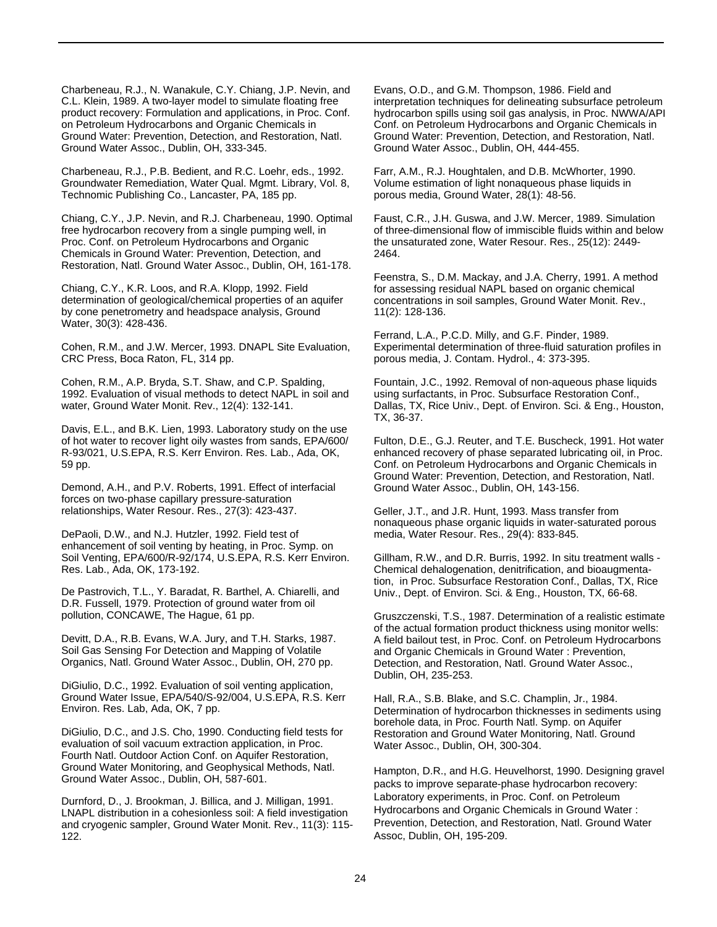Charbeneau, R.J., N. Wanakule, C.Y. Chiang, J.P. Nevin, and C.L. Klein, 1989. A two-layer model to simulate floating free product recovery: Formulation and applications, in Proc. Conf. on Petroleum Hydrocarbons and Organic Chemicals in Ground Water: Prevention, Detection, and Restoration, Natl. Ground Water Assoc., Dublin, OH, 333-345.

Charbeneau, R.J., P.B. Bedient, and R.C. Loehr, eds., 1992. Groundwater Remediation, Water Qual. Mgmt. Library, Vol. 8, Technomic Publishing Co., Lancaster, PA, 185 pp.

Chiang, C.Y., J.P. Nevin, and R.J. Charbeneau, 1990. Optimal free hydrocarbon recovery from a single pumping well, in Proc. Conf. on Petroleum Hydrocarbons and Organic Chemicals in Ground Water: Prevention, Detection, and Restoration, Natl. Ground Water Assoc., Dublin, OH, 161-178.

Chiang, C.Y., K.R. Loos, and R.A. Klopp, 1992. Field determination of geological/chemical properties of an aquifer by cone penetrometry and headspace analysis, Ground Water, 30(3): 428-436.

Cohen, R.M., and J.W. Mercer, 1993. DNAPL Site Evaluation, CRC Press, Boca Raton, FL, 314 pp.

Cohen, R.M., A.P. Bryda, S.T. Shaw, and C.P. Spalding, 1992. Evaluation of visual methods to detect NAPL in soil and water, Ground Water Monit. Rev., 12(4): 132-141.

Davis, E.L., and B.K. Lien, 1993. Laboratory study on the use of hot water to recover light oily wastes from sands, EPA/600/ R-93/021, U.S.EPA, R.S. Kerr Environ. Res. Lab., Ada, OK, 59 pp.

Demond, A.H., and P.V. Roberts, 1991. Effect of interfacial forces on two-phase capillary pressure-saturation relationships, Water Resour. Res., 27(3): 423-437.

DePaoli, D.W., and N.J. Hutzler, 1992. Field test of enhancement of soil venting by heating, in Proc. Symp. on Soil Venting, EPA/600/R-92/174, U.S.EPA, R.S. Kerr Environ. Res. Lab., Ada, OK, 173-192.

De Pastrovich, T.L., Y. Baradat, R. Barthel, A. Chiarelli, and D.R. Fussell, 1979. Protection of ground water from oil pollution, CONCAWE, The Hague, 61 pp.

Devitt, D.A., R.B. Evans, W.A. Jury, and T.H. Starks, 1987. Soil Gas Sensing For Detection and Mapping of Volatile Organics, Natl. Ground Water Assoc., Dublin, OH, 270 pp.

DiGiulio, D.C., 1992. Evaluation of soil venting application, Ground Water Issue, EPA/540/S-92/004, U.S.EPA, R.S. Kerr Environ. Res. Lab, Ada, OK, 7 pp.

DiGiulio, D.C., and J.S. Cho, 1990. Conducting field tests for evaluation of soil vacuum extraction application, in Proc. Fourth Natl. Outdoor Action Conf. on Aquifer Restoration, Ground Water Monitoring, and Geophysical Methods, Natl. Ground Water Assoc., Dublin, OH, 587-601.

Durnford, D., J. Brookman, J. Billica, and J. Milligan, 1991. LNAPL distribution in a cohesionless soil: A field investigation and cryogenic sampler, Ground Water Monit. Rev., 11(3): 115- 122.

Evans, O.D., and G.M. Thompson, 1986. Field and interpretation techniques for delineating subsurface petroleum hydrocarbon spills using soil gas analysis, in Proc. NWWA/API Conf. on Petroleum Hydrocarbons and Organic Chemicals in Ground Water: Prevention, Detection, and Restoration, Natl. Ground Water Assoc., Dublin, OH, 444-455.

Farr, A.M., R.J. Houghtalen, and D.B. McWhorter, 1990. Volume estimation of light nonaqueous phase liquids in porous media, Ground Water, 28(1): 48-56.

Faust, C.R., J.H. Guswa, and J.W. Mercer, 1989. Simulation of three-dimensional flow of immiscible fluids within and below the unsaturated zone, Water Resour. Res., 25(12): 2449- 2464.

Feenstra, S., D.M. Mackay, and J.A. Cherry, 1991. A method for assessing residual NAPL based on organic chemical concentrations in soil samples, Ground Water Monit. Rev., 11(2): 128-136.

Ferrand, L.A., P.C.D. Milly, and G.F. Pinder, 1989. Experimental determination of three-fluid saturation profiles in porous media, J. Contam. Hydrol., 4: 373-395.

Fountain, J.C., 1992. Removal of non-aqueous phase liquids using surfactants, in Proc. Subsurface Restoration Conf., Dallas, TX, Rice Univ., Dept. of Environ. Sci. & Eng., Houston, TX, 36-37.

Fulton, D.E., G.J. Reuter, and T.E. Buscheck, 1991. Hot water enhanced recovery of phase separated lubricating oil, in Proc. Conf. on Petroleum Hydrocarbons and Organic Chemicals in Ground Water: Prevention, Detection, and Restoration, Natl. Ground Water Assoc., Dublin, OH, 143-156.

Geller, J.T., and J.R. Hunt, 1993. Mass transfer from nonaqueous phase organic liquids in water-saturated porous media, Water Resour. Res., 29(4): 833-845.

Gillham, R.W., and D.R. Burris, 1992. In situ treatment walls - Chemical dehalogenation, denitrification, and bioaugmentation, in Proc. Subsurface Restoration Conf., Dallas, TX, Rice Univ., Dept. of Environ. Sci. & Eng., Houston, TX, 66-68.

Gruszczenski, T.S., 1987. Determination of a realistic estimate of the actual formation product thickness using monitor wells: A field bailout test, in Proc. Conf. on Petroleum Hydrocarbons and Organic Chemicals in Ground Water : Prevention, Detection, and Restoration, Natl. Ground Water Assoc., Dublin, OH, 235-253.

Hall, R.A., S.B. Blake, and S.C. Champlin, Jr., 1984. Determination of hydrocarbon thicknesses in sediments using borehole data, in Proc. Fourth Natl. Symp. on Aquifer Restoration and Ground Water Monitoring, Natl. Ground Water Assoc., Dublin, OH, 300-304.

Hampton, D.R., and H.G. Heuvelhorst, 1990. Designing gravel packs to improve separate-phase hydrocarbon recovery: Laboratory experiments, in Proc. Conf. on Petroleum Hydrocarbons and Organic Chemicals in Ground Water : Prevention, Detection, and Restoration, Natl. Ground Water Assoc, Dublin, OH, 195-209.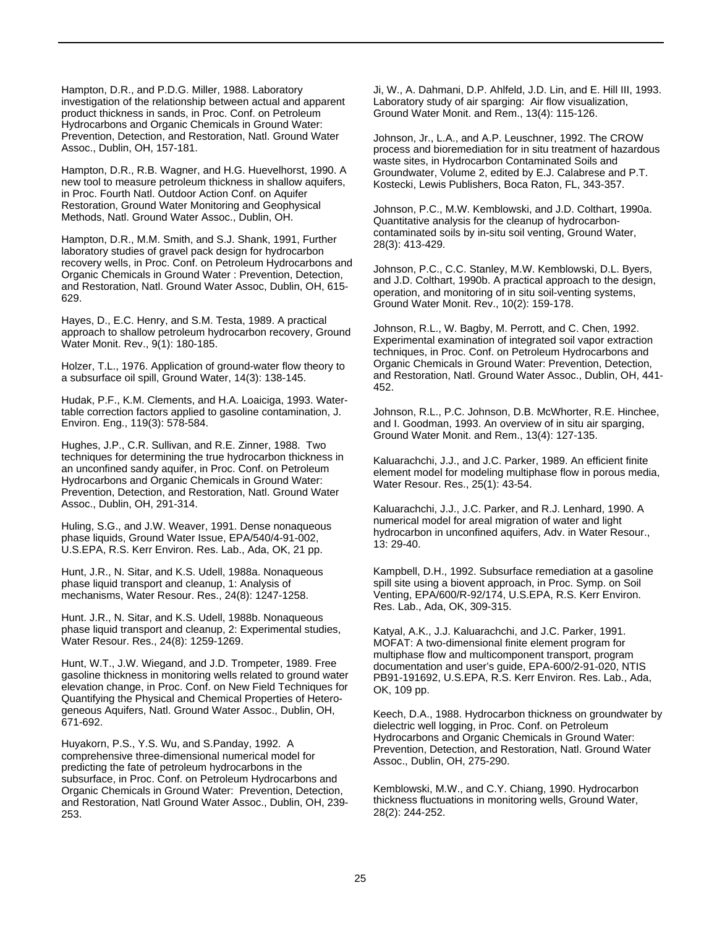Hampton, D.R., and P.D.G. Miller, 1988. Laboratory investigation of the relationship between actual and apparent product thickness in sands, in Proc. Conf. on Petroleum Hydrocarbons and Organic Chemicals in Ground Water: Prevention, Detection, and Restoration, Natl. Ground Water Assoc., Dublin, OH, 157-181.

Hampton, D.R., R.B. Wagner, and H.G. Huevelhorst, 1990. A new tool to measure petroleum thickness in shallow aquifers, in Proc. Fourth Natl. Outdoor Action Conf. on Aquifer Restoration, Ground Water Monitoring and Geophysical Methods, Natl. Ground Water Assoc., Dublin, OH.

Hampton, D.R., M.M. Smith, and S.J. Shank, 1991, Further laboratory studies of gravel pack design for hydrocarbon recovery wells, in Proc. Conf. on Petroleum Hydrocarbons and Organic Chemicals in Ground Water : Prevention, Detection, and Restoration, Natl. Ground Water Assoc, Dublin, OH, 615- 629.

Hayes, D., E.C. Henry, and S.M. Testa, 1989. A practical approach to shallow petroleum hydrocarbon recovery, Ground Water Monit. Rev., 9(1): 180-185.

Holzer, T.L., 1976. Application of ground-water flow theory to a subsurface oil spill, Ground Water, 14(3): 138-145.

Hudak, P.F., K.M. Clements, and H.A. Loaiciga, 1993. Watertable correction factors applied to gasoline contamination, J. Environ. Eng., 119(3): 578-584.

Hughes, J.P., C.R. Sullivan, and R.E. Zinner, 1988. Two techniques for determining the true hydrocarbon thickness in an unconfined sandy aquifer, in Proc. Conf. on Petroleum Hydrocarbons and Organic Chemicals in Ground Water: Prevention, Detection, and Restoration, Natl. Ground Water Assoc., Dublin, OH, 291-314.

Huling, S.G., and J.W. Weaver, 1991. Dense nonaqueous phase liquids, Ground Water Issue, EPA/540/4-91-002, U.S.EPA, R.S. Kerr Environ. Res. Lab., Ada, OK, 21 pp.

Hunt, J.R., N. Sitar, and K.S. Udell, 1988a. Nonaqueous phase liquid transport and cleanup, 1: Analysis of mechanisms, Water Resour. Res., 24(8): 1247-1258.

Hunt. J.R., N. Sitar, and K.S. Udell, 1988b. Nonaqueous phase liquid transport and cleanup, 2: Experimental studies, Water Resour. Res., 24(8): 1259-1269.

Hunt, W.T., J.W. Wiegand, and J.D. Trompeter, 1989. Free gasoline thickness in monitoring wells related to ground water elevation change, in Proc. Conf. on New Field Techniques for Quantifying the Physical and Chemical Properties of Heterogeneous Aquifers, Natl. Ground Water Assoc., Dublin, OH, 671-692.

Huyakorn, P.S., Y.S. Wu, and S.Panday, 1992. A comprehensive three-dimensional numerical model for predicting the fate of petroleum hydrocarbons in the subsurface, in Proc. Conf. on Petroleum Hydrocarbons and Organic Chemicals in Ground Water: Prevention, Detection, and Restoration, Natl Ground Water Assoc., Dublin, OH, 239- 253.

Ji, W., A. Dahmani, D.P. Ahlfeld, J.D. Lin, and E. Hill III, 1993. Laboratory study of air sparging: Air flow visualization, Ground Water Monit. and Rem., 13(4): 115-126.

Johnson, Jr., L.A., and A.P. Leuschner, 1992. The CROW process and bioremediation for in situ treatment of hazardous waste sites, in Hydrocarbon Contaminated Soils and Groundwater, Volume 2, edited by E.J. Calabrese and P.T. Kostecki, Lewis Publishers, Boca Raton, FL, 343-357.

Johnson, P.C., M.W. Kemblowski, and J.D. Colthart, 1990a. Quantitative analysis for the cleanup of hydrocarboncontaminated soils by in-situ soil venting, Ground Water, 28(3): 413-429.

Johnson, P.C., C.C. Stanley, M.W. Kemblowski, D.L. Byers, and J.D. Colthart, 1990b. A practical approach to the design, operation, and monitoring of in situ soil-venting systems, Ground Water Monit. Rev., 10(2): 159-178.

Johnson, R.L., W. Bagby, M. Perrott, and C. Chen, 1992. Experimental examination of integrated soil vapor extraction techniques, in Proc. Conf. on Petroleum Hydrocarbons and Organic Chemicals in Ground Water: Prevention, Detection, and Restoration, Natl. Ground Water Assoc., Dublin, OH, 441- 452.

Johnson, R.L., P.C. Johnson, D.B. McWhorter, R.E. Hinchee, and I. Goodman, 1993. An overview of in situ air sparging, Ground Water Monit. and Rem., 13(4): 127-135.

Kaluarachchi, J.J., and J.C. Parker, 1989. An efficient finite element model for modeling multiphase flow in porous media, Water Resour. Res., 25(1): 43-54.

Kaluarachchi, J.J., J.C. Parker, and R.J. Lenhard, 1990. A numerical model for areal migration of water and light hydrocarbon in unconfined aquifers, Adv. in Water Resour., 13: 29-40.

Kampbell, D.H., 1992. Subsurface remediation at a gasoline spill site using a biovent approach, in Proc. Symp. on Soil Venting, EPA/600/R-92/174, U.S.EPA, R.S. Kerr Environ. Res. Lab., Ada, OK, 309-315.

Katyal, A.K., J.J. Kaluarachchi, and J.C. Parker, 1991. MOFAT: A two-dimensional finite element program for multiphase flow and multicomponent transport, program documentation and user's guide, EPA-600/2-91-020, NTIS PB91-191692, U.S.EPA, R.S. Kerr Environ. Res. Lab., Ada, OK, 109 pp.

Keech, D.A., 1988. Hydrocarbon thickness on groundwater by dielectric well logging, in Proc. Conf. on Petroleum Hydrocarbons and Organic Chemicals in Ground Water: Prevention, Detection, and Restoration, Natl. Ground Water Assoc., Dublin, OH, 275-290.

Kemblowski, M.W., and C.Y. Chiang, 1990. Hydrocarbon thickness fluctuations in monitoring wells, Ground Water, 28(2): 244-252.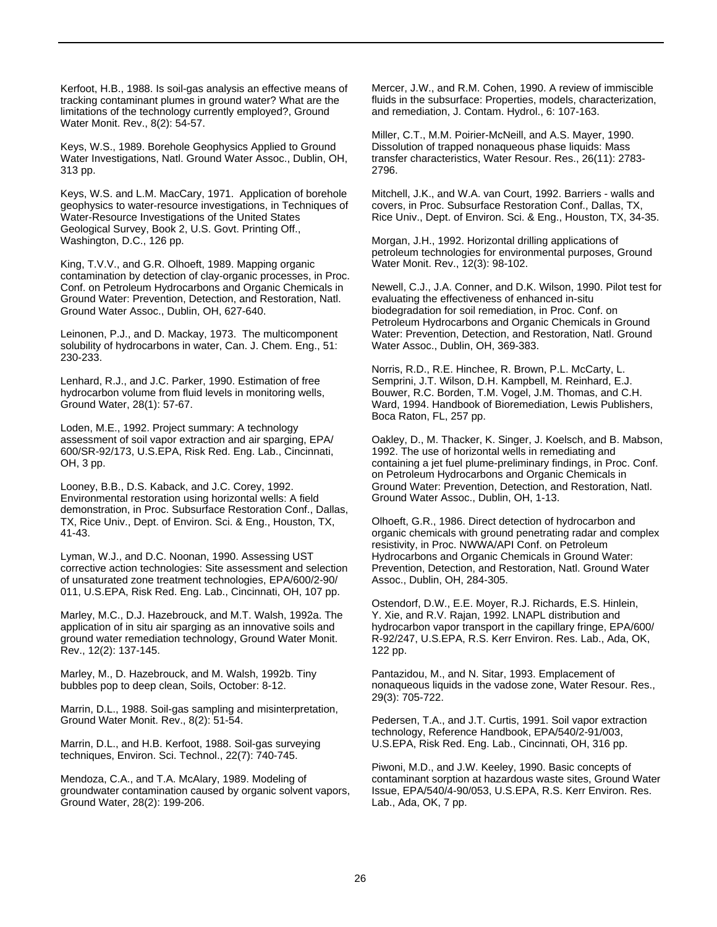Kerfoot, H.B., 1988. Is soil-gas analysis an effective means of tracking contaminant plumes in ground water? What are the limitations of the technology currently employed?, Ground Water Monit. Rev., 8(2): 54-57.

Keys, W.S., 1989. Borehole Geophysics Applied to Ground Water Investigations, Natl. Ground Water Assoc., Dublin, OH, 313 pp.

Keys, W.S. and L.M. MacCary, 1971. Application of borehole geophysics to water-resource investigations, in Techniques of Water-Resource Investigations of the United States Geological Survey, Book 2, U.S. Govt. Printing Off., Washington, D.C., 126 pp.

King, T.V.V., and G.R. Olhoeft, 1989. Mapping organic contamination by detection of clay-organic processes, in Proc. Conf. on Petroleum Hydrocarbons and Organic Chemicals in Ground Water: Prevention, Detection, and Restoration, Natl. Ground Water Assoc., Dublin, OH, 627-640.

Leinonen, P.J., and D. Mackay, 1973. The multicomponent solubility of hydrocarbons in water, Can. J. Chem. Eng., 51: 230-233.

Lenhard, R.J., and J.C. Parker, 1990. Estimation of free hydrocarbon volume from fluid levels in monitoring wells, Ground Water, 28(1): 57-67.

Loden, M.E., 1992. Project summary: A technology assessment of soil vapor extraction and air sparging, EPA/ 600/SR-92/173, U.S.EPA, Risk Red. Eng. Lab., Cincinnati, OH, 3 pp.

Looney, B.B., D.S. Kaback, and J.C. Corey, 1992. Environmental restoration using horizontal wells: A field demonstration, in Proc. Subsurface Restoration Conf., Dallas, TX, Rice Univ., Dept. of Environ. Sci. & Eng., Houston, TX, 41-43.

Lyman, W.J., and D.C. Noonan, 1990. Assessing UST corrective action technologies: Site assessment and selection of unsaturated zone treatment technologies, EPA/600/2-90/ 011, U.S.EPA, Risk Red. Eng. Lab., Cincinnati, OH, 107 pp.

Marley, M.C., D.J. Hazebrouck, and M.T. Walsh, 1992a. The application of in situ air sparging as an innovative soils and ground water remediation technology, Ground Water Monit. Rev., 12(2): 137-145.

Marley, M., D. Hazebrouck, and M. Walsh, 1992b. Tiny bubbles pop to deep clean, Soils, October: 8-12.

Marrin, D.L., 1988. Soil-gas sampling and misinterpretation, Ground Water Monit. Rev., 8(2): 51-54.

Marrin, D.L., and H.B. Kerfoot, 1988. Soil-gas surveying techniques, Environ. Sci. Technol., 22(7): 740-745.

Mendoza, C.A., and T.A. McAlary, 1989. Modeling of groundwater contamination caused by organic solvent vapors, Ground Water, 28(2): 199-206.

Mercer, J.W., and R.M. Cohen, 1990. A review of immiscible fluids in the subsurface: Properties, models, characterization, and remediation, J. Contam. Hydrol., 6: 107-163.

Miller, C.T., M.M. Poirier-McNeill, and A.S. Mayer, 1990. Dissolution of trapped nonaqueous phase liquids: Mass transfer characteristics, Water Resour. Res., 26(11): 2783- 2796.

Mitchell, J.K., and W.A. van Court, 1992. Barriers - walls and covers, in Proc. Subsurface Restoration Conf., Dallas, TX, Rice Univ., Dept. of Environ. Sci. & Eng., Houston, TX, 34-35.

Morgan, J.H., 1992. Horizontal drilling applications of petroleum technologies for environmental purposes, Ground Water Monit. Rev., 12(3): 98-102.

Newell, C.J., J.A. Conner, and D.K. Wilson, 1990. Pilot test for evaluating the effectiveness of enhanced in-situ biodegradation for soil remediation, in Proc. Conf. on Petroleum Hydrocarbons and Organic Chemicals in Ground Water: Prevention, Detection, and Restoration, Natl. Ground Water Assoc., Dublin, OH, 369-383.

Norris, R.D., R.E. Hinchee, R. Brown, P.L. McCarty, L. Semprini, J.T. Wilson, D.H. Kampbell, M. Reinhard, E.J. Bouwer, R.C. Borden, T.M. Vogel, J.M. Thomas, and C.H. Ward, 1994. Handbook of Bioremediation, Lewis Publishers, Boca Raton, FL, 257 pp.

Oakley, D., M. Thacker, K. Singer, J. Koelsch, and B. Mabson, 1992. The use of horizontal wells in remediating and containing a jet fuel plume-preliminary findings, in Proc. Conf. on Petroleum Hydrocarbons and Organic Chemicals in Ground Water: Prevention, Detection, and Restoration, Natl. Ground Water Assoc., Dublin, OH, 1-13.

Olhoeft, G.R., 1986. Direct detection of hydrocarbon and organic chemicals with ground penetrating radar and complex resistivity, in Proc. NWWA/API Conf. on Petroleum Hydrocarbons and Organic Chemicals in Ground Water: Prevention, Detection, and Restoration, Natl. Ground Water Assoc., Dublin, OH, 284-305.

Ostendorf, D.W., E.E. Moyer, R.J. Richards, E.S. Hinlein, Y. Xie, and R.V. Rajan, 1992. LNAPL distribution and hydrocarbon vapor transport in the capillary fringe, EPA/600/ R-92/247, U.S.EPA, R.S. Kerr Environ. Res. Lab., Ada, OK, 122 pp.

Pantazidou, M., and N. Sitar, 1993. Emplacement of nonaqueous liquids in the vadose zone, Water Resour. Res., 29(3): 705-722.

Pedersen, T.A., and J.T. Curtis, 1991. Soil vapor extraction technology, Reference Handbook, EPA/540/2-91/003, U.S.EPA, Risk Red. Eng. Lab., Cincinnati, OH, 316 pp.

Piwoni, M.D., and J.W. Keeley, 1990. Basic concepts of contaminant sorption at hazardous waste sites, Ground Water Issue, EPA/540/4-90/053, U.S.EPA, R.S. Kerr Environ. Res. Lab., Ada, OK, 7 pp.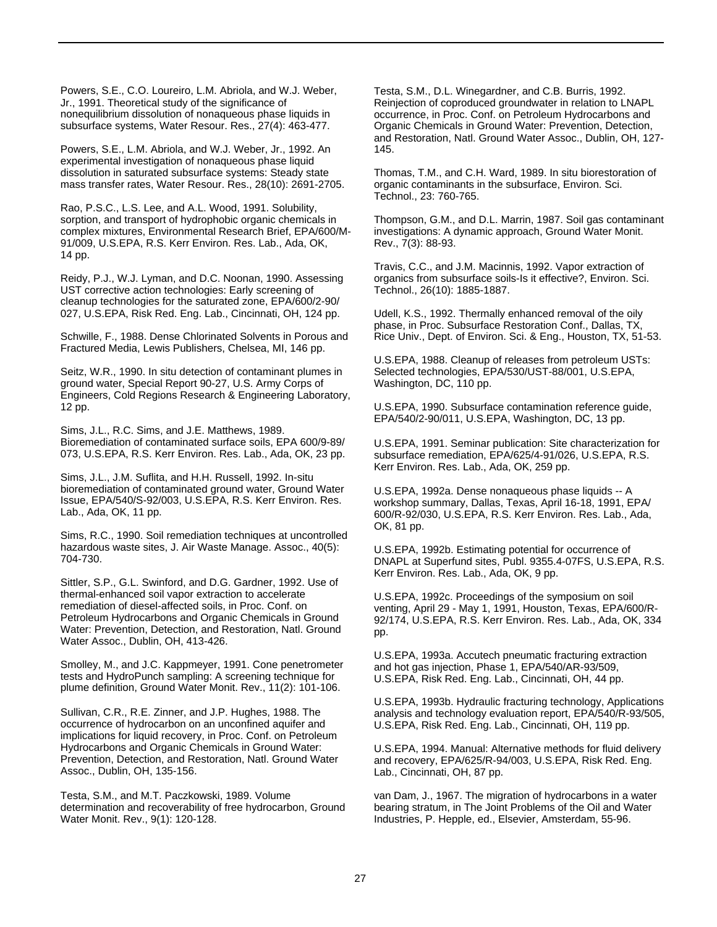Powers, S.E., C.O. Loureiro, L.M. Abriola, and W.J. Weber, Jr., 1991. Theoretical study of the significance of nonequilibrium dissolution of nonaqueous phase liquids in subsurface systems, Water Resour. Res., 27(4): 463-477.

Powers, S.E., L.M. Abriola, and W.J. Weber, Jr., 1992. An experimental investigation of nonaqueous phase liquid dissolution in saturated subsurface systems: Steady state mass transfer rates, Water Resour. Res., 28(10): 2691-2705.

Rao, P.S.C., L.S. Lee, and A.L. Wood, 1991. Solubility, sorption, and transport of hydrophobic organic chemicals in complex mixtures, Environmental Research Brief, EPA/600/M-91/009, U.S.EPA, R.S. Kerr Environ. Res. Lab., Ada, OK, 14 pp.

Reidy, P.J., W.J. Lyman, and D.C. Noonan, 1990. Assessing UST corrective action technologies: Early screening of cleanup technologies for the saturated zone, EPA/600/2-90/ 027, U.S.EPA, Risk Red. Eng. Lab., Cincinnati, OH, 124 pp.

Schwille, F., 1988. Dense Chlorinated Solvents in Porous and Fractured Media, Lewis Publishers, Chelsea, MI, 146 pp.

Seitz, W.R., 1990. In situ detection of contaminant plumes in ground water, Special Report 90-27, U.S. Army Corps of Engineers, Cold Regions Research & Engineering Laboratory, 12 pp.

Sims, J.L., R.C. Sims, and J.E. Matthews, 1989. Bioremediation of contaminated surface soils, EPA 600/9-89/ 073, U.S.EPA, R.S. Kerr Environ. Res. Lab., Ada, OK, 23 pp.

Sims, J.L., J.M. Suflita, and H.H. Russell, 1992. In-situ bioremediation of contaminated ground water, Ground Water Issue, EPA/540/S-92/003, U.S.EPA, R.S. Kerr Environ. Res. Lab., Ada, OK, 11 pp.

Sims, R.C., 1990. Soil remediation techniques at uncontrolled hazardous waste sites, J. Air Waste Manage. Assoc., 40(5): 704-730.

Sittler, S.P., G.L. Swinford, and D.G. Gardner, 1992. Use of thermal-enhanced soil vapor extraction to accelerate remediation of diesel-affected soils, in Proc. Conf. on Petroleum Hydrocarbons and Organic Chemicals in Ground Water: Prevention, Detection, and Restoration, Natl. Ground Water Assoc., Dublin, OH, 413-426.

Smolley, M., and J.C. Kappmeyer, 1991. Cone penetrometer tests and HydroPunch sampling: A screening technique for plume definition, Ground Water Monit. Rev., 11(2): 101-106.

Sullivan, C.R., R.E. Zinner, and J.P. Hughes, 1988. The occurrence of hydrocarbon on an unconfined aquifer and implications for liquid recovery, in Proc. Conf. on Petroleum Hydrocarbons and Organic Chemicals in Ground Water: Prevention, Detection, and Restoration, Natl. Ground Water Assoc., Dublin, OH, 135-156.

Testa, S.M., and M.T. Paczkowski, 1989. Volume determination and recoverability of free hydrocarbon, Ground Water Monit. Rev., 9(1): 120-128.

Testa, S.M., D.L. Winegardner, and C.B. Burris, 1992. Reinjection of coproduced groundwater in relation to LNAPL occurrence, in Proc. Conf. on Petroleum Hydrocarbons and Organic Chemicals in Ground Water: Prevention, Detection, and Restoration, Natl. Ground Water Assoc., Dublin, OH, 127- 145.

Thomas, T.M., and C.H. Ward, 1989. In situ biorestoration of organic contaminants in the subsurface, Environ. Sci. Technol., 23: 760-765.

Thompson, G.M., and D.L. Marrin, 1987. Soil gas contaminant investigations: A dynamic approach, Ground Water Monit. Rev., 7(3): 88-93.

Travis, C.C., and J.M. Macinnis, 1992. Vapor extraction of organics from subsurface soils-Is it effective?, Environ. Sci. Technol., 26(10): 1885-1887.

Udell, K.S., 1992. Thermally enhanced removal of the oily phase, in Proc. Subsurface Restoration Conf., Dallas, TX, Rice Univ., Dept. of Environ. Sci. & Eng., Houston, TX, 51-53.

U.S.EPA, 1988. Cleanup of releases from petroleum USTs: Selected technologies, EPA/530/UST-88/001, U.S.EPA, Washington, DC, 110 pp.

U.S.EPA, 1990. Subsurface contamination reference guide, EPA/540/2-90/011, U.S.EPA, Washington, DC, 13 pp.

U.S.EPA, 1991. Seminar publication: Site characterization for subsurface remediation, EPA/625/4-91/026, U.S.EPA, R.S. Kerr Environ. Res. Lab., Ada, OK, 259 pp.

U.S.EPA, 1992a. Dense nonaqueous phase liquids -- A workshop summary, Dallas, Texas, April 16-18, 1991, EPA/ 600/R-92/030, U.S.EPA, R.S. Kerr Environ. Res. Lab., Ada, OK, 81 pp.

U.S.EPA, 1992b. Estimating potential for occurrence of DNAPL at Superfund sites, Publ. 9355.4-07FS, U.S.EPA, R.S. Kerr Environ. Res. Lab., Ada, OK, 9 pp.

U.S.EPA, 1992c. Proceedings of the symposium on soil venting, April 29 - May 1, 1991, Houston, Texas, EPA/600/R-92/174, U.S.EPA, R.S. Kerr Environ. Res. Lab., Ada, OK, 334 pp.

U.S.EPA, 1993a. Accutech pneumatic fracturing extraction and hot gas injection, Phase 1, EPA/540/AR-93/509, U.S.EPA, Risk Red. Eng. Lab., Cincinnati, OH, 44 pp.

U.S.EPA, 1993b. Hydraulic fracturing technology, Applications analysis and technology evaluation report, EPA/540/R-93/505, U.S.EPA, Risk Red. Eng. Lab., Cincinnati, OH, 119 pp.

U.S.EPA, 1994. Manual: Alternative methods for fluid delivery and recovery, EPA/625/R-94/003, U.S.EPA, Risk Red. Eng. Lab., Cincinnati, OH, 87 pp.

van Dam, J., 1967. The migration of hydrocarbons in a water bearing stratum, in The Joint Problems of the Oil and Water Industries, P. Hepple, ed., Elsevier, Amsterdam, 55-96.